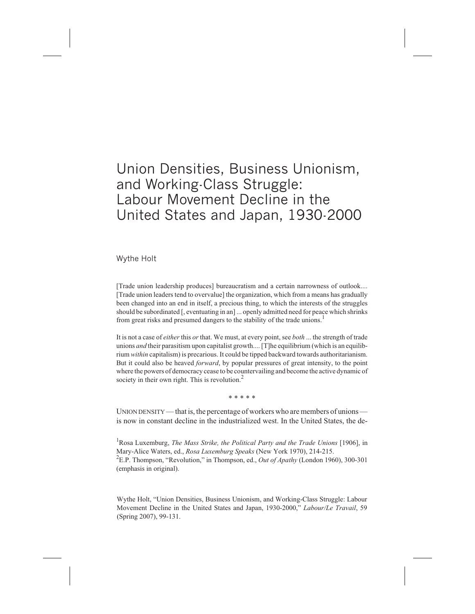# Union Densities, Business Unionism, and Working-Class Struggle: Labour Movement Decline in the United States and Japan, 1930-2000

Wythe Holt

[Trade union leadership produces] bureaucratism and a certain narrowness of outlook.... [Trade union leaders tend to overvalue] the organization, which from a means has gradually been changed into an end in itself, a precious thing, to which the interests of the struggles should be subordinated [, eventuating in an] ... openly admitted need for peace which shrinks from great risks and presumed dangers to the stability of the trade unions.<sup>1</sup>

It is not a case of *either* this *or* that. We must, at every point, see *both* ... the strength of trade unions *and* their parasitism upon capitalist growth.... [T]he equilibrium (which is an equilibrium *within* capitalism) is precarious. It could be tipped backward towards authoritarianism. But it could also be heaved *forward*, by popular pressures of great intensity, to the point where the powers of democracy cease to be countervailing and become the active dynamic of society in their own right. This is revolution.<sup>2</sup>

\*\*\*\*\*

UNION DENSITY — that is, the percentage of workers who are members of unions is now in constant decline in the industrialized west. In the United States, the de-

<sup>1</sup> Rosa Luxemburg, *The Mass Strike, the Political Party and the Trade Unions* [1906], in Mary-Alice Waters, ed., *Rosa Luxemburg Speaks* (New York 1970), 214-215. 2 E.P. Thompson, "Revolution," in Thompson, ed., *Out of Apathy* (London 1960), 300-301 (emphasis in original).

Wythe Holt, "Union Densities, Business Unionism, and Working-Class Struggle: Labour Movement Decline in the United States and Japan, 1930-2000," *Labour/Le Travail*, 59 (Spring 2007), 99-131.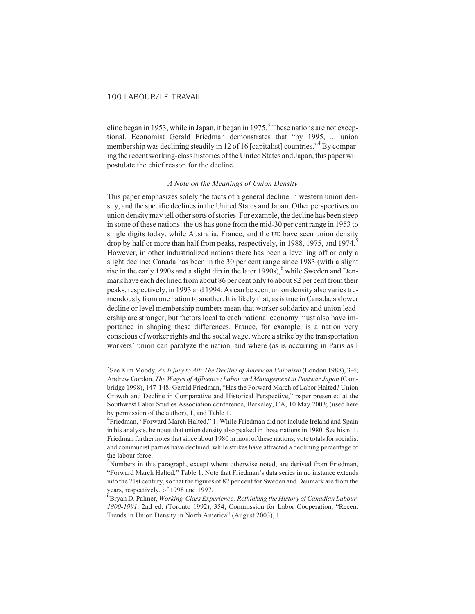cline began in 1953, while in Japan, it began in 1975.<sup>3</sup> These nations are not exceptional. Economist Gerald Friedman demonstrates that "by 1995, ... union membership was declining steadily in 12 of 16 [capitalist] countries.<sup>"4</sup> By comparing the recent working-class histories of the United States and Japan, this paper will postulate the chief reason for the decline.

## *A Note on the Meanings of Union Density*

This paper emphasizes solely the facts of a general decline in western union density, and the specific declines in the United States and Japan. Other perspectives on union density may tell other sorts of stories. For example, the decline has been steep in some of these nations: the US has gone from the mid-30 per cent range in 1953 to single digits today, while Australia, France, and the UK have seen union density drop by half or more than half from peaks, respectively, in 1988, 1975, and 1974.<sup>5</sup> However, in other industrialized nations there has been a levelling off or only a slight decline: Canada has been in the 30 per cent range since 1983 (with a slight rise in the early 1990s and a slight dip in the later  $1990s$ ,  $6$  while Sweden and Denmark have each declined from about 86 per cent only to about 82 per cent from their peaks, respectively, in 1993 and 1994. As can be seen, union density also varies tremendously from one nation to another. It is likely that, as is true in Canada, a slower decline or level membership numbers mean that worker solidarity and union leadership are stronger, but factors local to each national economy must also have importance in shaping these differences. France, for example, is a nation very conscious of worker rights and the social wage, where a strike by the transportation workers' union can paralyze the nation, and where (as is occurring in Paris as I

3 See Kim Moody, *An Injury to All: The Decline of American Unionism* (London 1988), 3-4; Andrew Gordon, *The Wages of Affluence: Labor and Management in Postwar Japan* (Cambridge 1998), 147-148; Gerald Friedman, "Has the Forward March of Labor Halted? Union Growth and Decline in Comparative and Historical Perspective," paper presented at the Southwest Labor Studies Association conference, Berkeley, CA, 10 May 2003; (used here by permission of the author), 1, and Table 1.

<sup>4</sup> Friedman, "Forward March Halted," 1. While Friedman did not include Ireland and Spain in his analysis, he notes that union density also peaked in those nations in 1980. See his n. 1. Friedman further notes that since about 1980 in most of these nations, vote totals for socialist and communist parties have declined, while strikes have attracted a declining percentage of the labour force.

<sup>5</sup>Numbers in this paragraph, except where otherwise noted, are derived from Friedman, "Forward March Halted," Table 1. Note that Friedman's data series in no instance extends into the 21st century, so that the figures of 82 per cent for Sweden and Denmark are from the years, respectively, of 1998 and 1997.

6 Bryan D. Palmer, *Working-Class Experience: Rethinking the History of Canadian Labour, 1800-1991*, 2nd ed. (Toronto 1992), 354; Commission for Labor Cooperation, "Recent Trends in Union Density in North America" (August 2003), 1.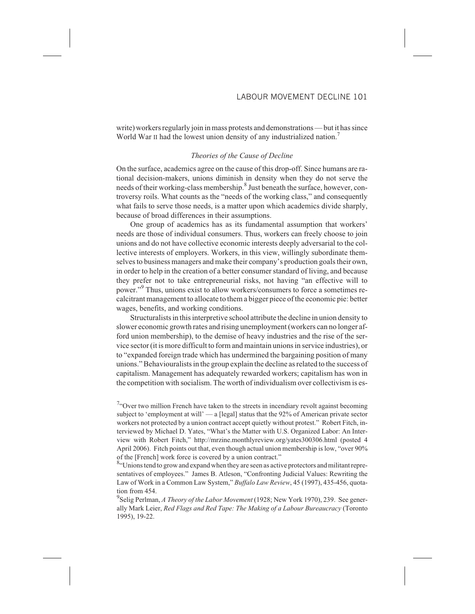write) workers regularly join in mass protests and demonstrations — but it has since World War II had the lowest union density of any industrialized nation.<sup>7</sup>

#### *Theories of the Cause of Decline*

On the surface, academics agree on the cause of this drop-off. Since humans are rational decision-makers, unions diminish in density when they do not serve the needs of their working-class membership.<sup>8</sup> Just beneath the surface, however, controversy roils. What counts as the "needs of the working class," and consequently what fails to serve those needs, is a matter upon which academics divide sharply, because of broad differences in their assumptions.

One group of academics has as its fundamental assumption that workers' needs are those of individual consumers. Thus, workers can freely choose to join unions and do not have collective economic interests deeply adversarial to the collective interests of employers. Workers, in this view, willingly subordinate themselves to business managers and make their company's production goals their own, in order to help in the creation of a better consumer standard of living, and because they prefer not to take entrepreneurial risks, not having "an effective will to power."<sup>9</sup> Thus, unions exist to allow workers/consumers to force a sometimes recalcitrant management to allocate to them a bigger piece of the economic pie: better wages, benefits, and working conditions.

Structuralists in this interpretive school attribute the decline in union density to slower economic growth rates and rising unemployment (workers can no longer afford union membership), to the demise of heavy industries and the rise of the service sector (it is more difficult to form and maintain unions in service industries), or to "expanded foreign trade which has undermined the bargaining position of many unions." Behaviouralists in the group explain the decline as related to the success of capitalism. Management has adequately rewarded workers; capitalism has won in the competition with socialism. The worth of individualism over collectivism is es-

 $7.7$  Over two million French have taken to the streets in incendiary revolt against becoming subject to 'employment at will'  $\frac{1}{2}$  [legal] status that the 92% of American private sector workers not protected by a union contract accept quietly without protest." Robert Fitch, interviewed by Michael D. Yates, "What's the Matter with U.S. Organized Labor: An Interview with Robert Fitch," http://mrzine.monthlyreview.org/yates300306.html (posted 4 April 2006). Fitch points out that, even though actual union membership is low, "over 90% of the [French] work force is covered by a union contract."

8. Unions tend to grow and expand when they are seen as active protectors and militant representatives of employees." James B. Atleson, "Confronting Judicial Values: Rewriting the Law of Work in a Common Law System," *Buffalo Law Review*, 45 (1997), 435-456, quotation from 454.

9 Selig Perlman, *A Theory of the Labor Movement* (1928; New York 1970), 239. See generally Mark Leier, *Red Flags and Red Tape: The Making of a Labour Bureaucracy* (Toronto 1995), 19-22.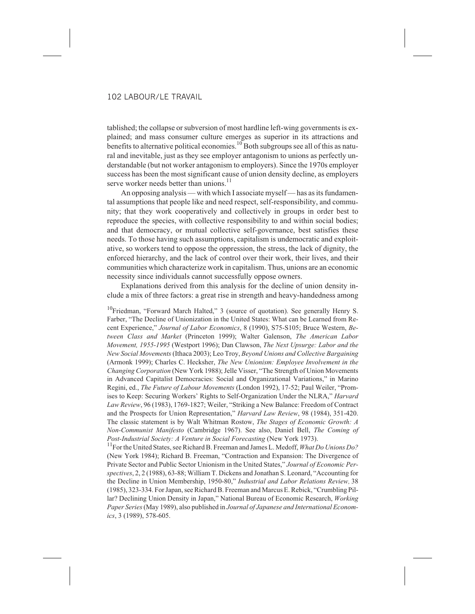tablished; the collapse or subversion of most hardline left-wing governments is explained; and mass consumer culture emerges as superior in its attractions and benefits to alternative political economies.<sup>10</sup> Both subgroups see all of this as natural and inevitable, just as they see employer antagonism to unions as perfectly understandable (but not worker antagonism to employers). Since the 1970s employer success has been the most significant cause of union density decline, as employers serve worker needs better than unions.<sup>11</sup>

An opposing analysis — with which I associate myself — has as its fundamental assumptions that people like and need respect, self-responsibility, and community; that they work cooperatively and collectively in groups in order best to reproduce the species, with collective responsibility to and within social bodies; and that democracy, or mutual collective self-governance, best satisfies these needs. To those having such assumptions, capitalism is undemocratic and exploitative, so workers tend to oppose the oppression, the stress, the lack of dignity, the enforced hierarchy, and the lack of control over their work, their lives, and their communities which characterize work in capitalism. Thus, unions are an economic necessity since individuals cannot successfully oppose owners.

Explanations derived from this analysis for the decline of union density include a mix of three factors: a great rise in strength and heavy-handedness among

 $10$ Friedman, "Forward March Halted," 3 (source of quotation). See generally Henry S. Farber, "The Decline of Unionization in the United States: What can be Learned from Recent Experience," *Journal of Labor Economics*, 8 (1990), S75-S105; Bruce Western, *Between Class and Market* (Princeton 1999); Walter Galenson, *The American Labor Movement, 1955-1995* (Westport 1996); Dan Clawson, *The Next Upsurge: Labor and the New Social Movements*(Ithaca 2003); Leo Troy, *Beyond Unions and Collective Bargaining* (Armonk 1999); Charles C. Hecksher, *The New Unionism: Employee Involvement in the Changing Corporation* (New York 1988); Jelle Visser, "The Strength of Union Movements in Advanced Capitalist Democracies: Social and Organizational Variations," in Marino Regini, ed., *The Future of Labour Movements* (London 1992), 17-52; Paul Weiler, "Promises to Keep: Securing Workers' Rights to Self-Organization Under the NLRA," *Harvard Law Review*, 96 (1983), 1769-1827; Weiler, "Striking a New Balance: Freedom of Contract and the Prospects for Union Representation," *Harvard Law Review*, 98 (1984), 351-420. The classic statement is by Walt Whitman Rostow, *The Stages of Economic Growth: A Non-Communist Manifesto* (Cambridge 1967). See also, Daniel Bell, *The Coming of Post-Industrial Society: A Venture in Social Forecasting* (New York 1973).

<sup>11</sup>For the United States, see Richard B. Freeman and James L. Medoff, *What Do Unions Do?* (New York 1984); Richard B. Freeman, "Contraction and Expansion: The Divergence of Private Sector and Public Sector Unionism in the United States," *Journal of Economic Perspectives*, 2, 2 (1988), 63-88; William T. Dickens and Jonathan S. Leonard, "Accounting for the Decline in Union Membership, 1950-80," *Industrial and Labor Relations Review*, 38 (1985), 323-334. For Japan, see Richard B. Freeman and Marcus E. Rebick, "Crumbling Pillar? Declining Union Density in Japan," National Bureau of Economic Research, *Working Paper Series*(May 1989), also published in *Journal of Japanese and International Economics*, 3 (1989), 578-605.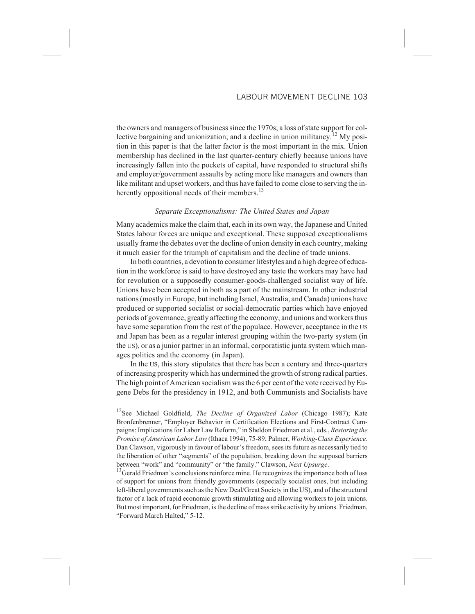the owners and managers of business since the 1970s; a loss of state support for collective bargaining and unionization; and a decline in union militancy.<sup>12</sup> My position in this paper is that the latter factor is the most important in the mix. Union membership has declined in the last quarter-century chiefly because unions have increasingly fallen into the pockets of capital, have responded to structural shifts and employer/government assaults by acting more like managers and owners than like militant and upset workers, and thus have failed to come close to serving the inherently oppositional needs of their members.<sup>13</sup>

#### *Separate Exceptionalisms: The United States and Japan*

Many academics make the claim that, each in its own way, the Japanese and United States labour forces are unique and exceptional. These supposed exceptionalisms usually frame the debates over the decline of union density in each country, making it much easier for the triumph of capitalism and the decline of trade unions.

In both countries, a devotion to consumer lifestyles and a high degree of education in the workforce is said to have destroyed any taste the workers may have had for revolution or a supposedly consumer-goods-challenged socialist way of life. Unions have been accepted in both as a part of the mainstream. In other industrial nations (mostly in Europe, but including Israel, Australia, and Canada) unions have produced or supported socialist or social-democratic parties which have enjoyed periods of governance, greatly affecting the economy, and unions and workers thus have some separation from the rest of the populace. However, acceptance in the US and Japan has been as a regular interest grouping within the two-party system (in the US), or as a junior partner in an informal, corporatistic junta system which manages politics and the economy (in Japan).

In the US, this story stipulates that there has been a century and three-quarters of increasing prosperity which has undermined the growth of strong radical parties. The high point of American socialism was the 6 per cent of the vote received by Eugene Debs for the presidency in 1912, and both Communists and Socialists have

12See Michael Goldfield, *The Decline of Organized Labor* (Chicago 1987); Kate Bronfenbrenner, "Employer Behavior in Certification Elections and First-Contract Campaigns: Implications for Labor Law Reform," in Sheldon Friedman et al., eds*.*, *Restoring the Promise of American Labor Law* (Ithaca 1994), 75-89; Palmer, *Working-Class Experience*. Dan Clawson, vigorously in favour of labour's freedom, sees its future as necessarily tied to the liberation of other "segments" of the population, breaking down the supposed barriers between "work" and "community" or "the family." Clawson, *Next Upsurge*.<br><sup>13</sup>Gerald Friedman's conclusions reinforce mine. He recognizes the importance both of loss

of support for unions from friendly governments (especially socialist ones, but including left-liberal governments such as the New Deal/Great Society in the US), and of the structural factor of a lack of rapid economic growth stimulating and allowing workers to join unions. But most important, for Friedman, is the decline of mass strike activity by unions. Friedman, "Forward March Halted," 5-12.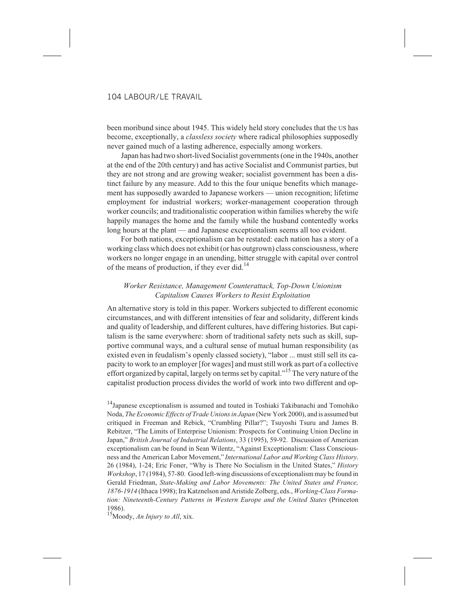been moribund since about 1945. This widely held story concludes that the US has become, exceptionally, a *classless society* where radical philosophies supposedly never gained much of a lasting adherence, especially among workers.

Japan has had two short-lived Socialist governments (one in the 1940s, another at the end of the 20th century) and has active Socialist and Communist parties, but they are not strong and are growing weaker; socialist government has been a distinct failure by any measure. Add to this the four unique benefits which management has supposedly awarded to Japanese workers — union recognition; lifetime employment for industrial workers; worker-management cooperation through worker councils; and traditionalistic cooperation within families whereby the wife happily manages the home and the family while the husband contentedly works long hours at the plant — and Japanese exceptionalism seems all too evident.

For both nations, exceptionalism can be restated: each nation has a story of a working class which does not exhibit (or has outgrown) class consciousness, where workers no longer engage in an unending, bitter struggle with capital over control of the means of production, if they ever did.<sup>14</sup>

# *Worker Resistance, Management Counterattack, Top-Down Unionism Capitalism Causes Workers to Resist Exploitation*

An alternative story is told in this paper. Workers subjected to different economic circumstances, and with different intensities of fear and solidarity, different kinds and quality of leadership, and different cultures, have differing histories. But capitalism is the same everywhere: shorn of traditional safety nets such as skill, supportive communal ways, and a cultural sense of mutual human responsibility (as existed even in feudalism's openly classed society), "labor ... must still sell its capacity to work to an employer [for wages] and must still work as part of a collective effort organized by capital, largely on terms set by capital."<sup>15</sup> The very nature of the capitalist production process divides the world of work into two different and op-

<sup>14</sup>Japanese exceptionalism is assumed and touted in Toshiaki Takibanachi and Tomohiko Noda, *The Economic Effects of Trade Unions in Japan* (New York 2000), and is assumed but critiqued in Freeman and Rebick, "Crumbling Pillar?"; Tsuyoshi Tsuru and James B. Rebitzer, "The Limits of Enterprise Unionism: Prospects for Continuing Union Decline in Japan," *British Journal of Industrial Relations*, 33 (1995), 59-92. Discussion of American exceptionalism can be found in Sean Wilentz, "Against Exceptionalism: Class Consciousness and the American Labor Movement," *International Labor and Working Class History*, 26 (1984), 1-24; Eric Foner, "Why is There No Socialism in the United States," *History Workshop*, 17 (1984), 57-80. Good left-wing discussions of exceptionalism may be found in Gerald Friedman, *State-Making and Labor Movements: The United States and France, 1876-1914* (Ithaca 1998); Ira Katznelson and Aristide Zolberg, eds., *Working-Class Formation: Nineteenth-Century Patterns in Western Europe and the United States* (Princeton 1986).

15Moody, *An Injury to All*, xix.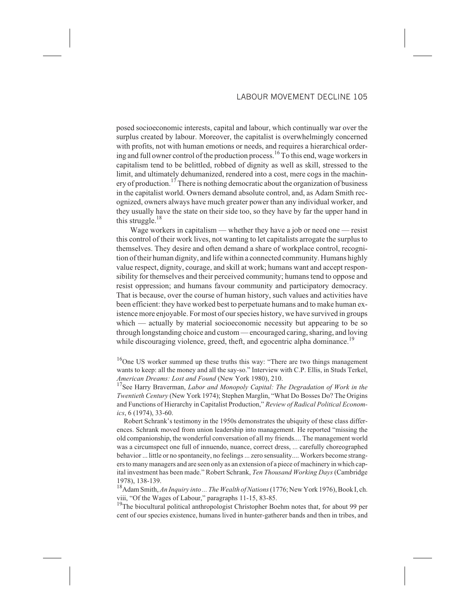posed socioeconomic interests, capital and labour, which continually war over the surplus created by labour. Moreover, the capitalist is overwhelmingly concerned with profits, not with human emotions or needs, and requires a hierarchical ordering and full owner control of the production process.<sup>16</sup> To this end, wage workers in capitalism tend to be belittled, robbed of dignity as well as skill, stressed to the limit, and ultimately dehumanized, rendered into a cost, mere cogs in the machinery of production.<sup>17</sup> There is nothing democratic about the organization of business in the capitalist world. Owners demand absolute control, and, as Adam Smith recognized, owners always have much greater power than any individual worker, and they usually have the state on their side too, so they have by far the upper hand in this struggle.<sup>18</sup>

Wage workers in capitalism — whether they have a job or need one — resist this control of their work lives, not wanting to let capitalists arrogate the surplus to themselves. They desire and often demand a share of workplace control, recognition of their human dignity, and life within a connected community. Humans highly value respect, dignity, courage, and skill at work; humans want and accept responsibility for themselves and their perceived community; humans tend to oppose and resist oppression; and humans favour community and participatory democracy. That is because, over the course of human history, such values and activities have been efficient: they have worked best to perpetuate humans and to make human existence more enjoyable. For most of our species history, we have survived in groups which — actually by material socioeconomic necessity but appearing to be so through longstanding choice and custom — encouraged caring, sharing, and loving while discouraging violence, greed, theft, and egocentric alpha dominance.<sup>19</sup>

<sup>16</sup>One US worker summed up these truths this way: "There are two things management wants to keep: all the money and all the say-so." Interview with C.P. Ellis, in Studs Terkel, *American Dreams: Lost and Found* (New York 1980), 210.

<sup>17</sup>See Harry Braverman, *Labor and Monopoly Capital: The Degradation of Work in the Twentieth Century* (New York 1974); Stephen Marglin, "What Do Bosses Do? The Origins and Functions of Hierarchy in Capitalist Production," *Review of Radical Political Economics*, 6 (1974), 33-60.

Robert Schrank's testimony in the 1950s demonstrates the ubiquity of these class differences. Schrank moved from union leadership into management. He reported "missing the old companionship, the wonderful conversation of all my friends.... The management world was a circumspect one full of innuendo, nuance, correct dress, ... carefully choreographed behavior ... little or no spontaneity, no feelings ... zero sensuality.... Workers become strangers to many managers and are seen only as an extension of a piece of machinery in which capital investment has been made." Robert Schrank, *Ten Thousand Working Days* (Cambridge 1978), 138-139.

18Adam Smith,*An Inquiry into ... The Wealth of Nations*(1776; New York 1976), Book I, ch. viii, "Of the Wages of Labour," paragraphs 11-15, 83-85.

<sup>19</sup>The biocultural political anthropologist Christopher Boehm notes that, for about 99 per cent of our species existence, humans lived in hunter-gatherer bands and then in tribes, and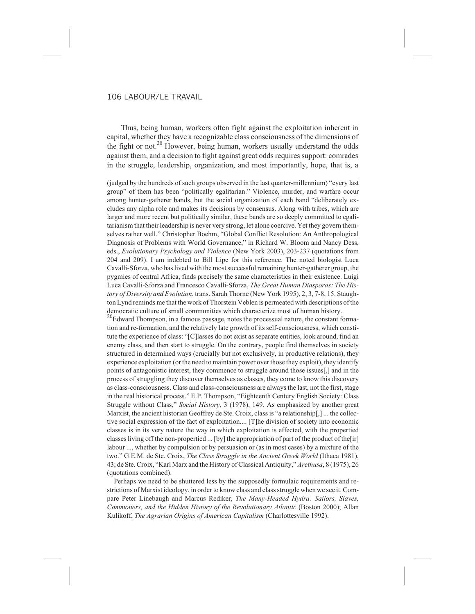Thus, being human, workers often fight against the exploitation inherent in capital, whether they have a recognizable class consciousness of the dimensions of the fight or not.<sup>20</sup> However, being human, workers usually understand the odds against them, and a decision to fight against great odds requires support: comrades in the struggle, leadership, organization, and most importantly, hope, that is, a

(judged by the hundreds of such groups observed in the last quarter-millennium) "every last group" of them has been "politically egalitarian." Violence, murder, and warfare occur among hunter-gatherer bands, but the social organization of each band "deliberately excludes any alpha role and makes its decisions by consensus. Along with tribes, which are larger and more recent but politically similar, these bands are so deeply committed to egalitarianism that their leadership is never very strong, let alone coercive. Yet they govern themselves rather well." Christopher Boehm, "Global Conflict Resolution: An Anthropological Diagnosis of Problems with World Governance," in Richard W. Bloom and Nancy Dess, eds., *Evolutionary Psychology and Violence* (New York 2003), 203-237 (quotations from 204 and 209). I am indebted to Bill Lipe for this reference. The noted biologist Luca Cavalli-Sforza, who has lived with the most successful remaining hunter-gatherer group, the pygmies of central Africa, finds precisely the same characteristics in their existence. Luigi Luca Cavalli-Sforza and Francesco Cavalli-Sforza, *The Great Human Diasporas: The History of Diversity and Evolution*, trans. Sarah Thorne (New York 1995), 2, 3, 7-8, 15. Staughton Lynd reminds me that the work of Thorstein Veblen is permeated with descriptions of the democratic culture of small communities which characterize most of human history.

 $^{20}$ Edward Thompson, in a famous passage, notes the processual nature, the constant formation and re-formation, and the relatively late growth of its self-consciousness, which constitute the experience of class: "[C]lasses do not exist as separate entities, look around, find an enemy class, and then start to struggle. On the contrary, people find themselves in society structured in determined ways (crucially but not exclusively, in productive relations), they experience exploitation (or the need to maintain power over those they exploit), they identify points of antagonistic interest, they commence to struggle around those issues[,] and in the process of struggling they discover themselves as classes, they come to know this discovery as class-consciousness. Class and class-consciousness are always the last, not the first, stage in the real historical process." E.P. Thompson, "Eighteenth Century English Society: Class Struggle without Class," *Social History*, 3 (1978), 149. As emphasized by another great Marxist, the ancient historian Geoffrey de Ste. Croix, class is "a relationship[,] ... the collective social expression of the fact of exploitation.... [T]he division of society into economic classes is in its very nature the way in which exploitation is effected, with the propertied classes living off the non-propertied ... [by] the appropriation of part of the product of the[ir] labour ..., whether by compulsion or by persuasion or (as in most cases) by a mixture of the two." G.E.M. de Ste. Croix, *The Class Struggle in the Ancient Greek World* (Ithaca 1981), 43; de Ste. Croix, "Karl Marx and the History of Classical Antiquity," *Arethusa*, 8 (1975), 26 (quotations combined).

Perhaps we need to be shuttered less by the supposedly formulaic requirements and restrictions of Marxist ideology, in order to know class and class struggle when we see it. Compare Peter Linebaugh and Marcus Rediker, *The Many-Headed Hydra: Sailors, Slaves, Commoners, and the Hidden History of the Revolutionary Atlantic* (Boston 2000); Allan Kulikoff, *The Agrarian Origins of American Capitalism* (Charlottesville 1992).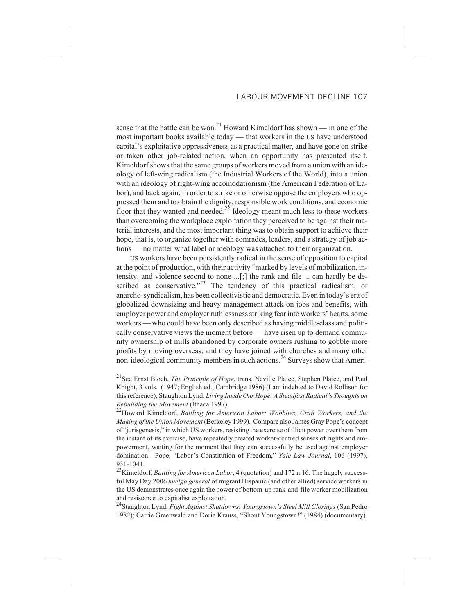sense that the battle can be won.<sup>21</sup> Howard Kimeldorf has shown — in one of the most important books available today — that workers in the US have understood capital's exploitative oppressiveness as a practical matter, and have gone on strike or taken other job-related action, when an opportunity has presented itself. Kimeldorf shows that the same groups of workers moved from a union with an ideology of left-wing radicalism (the Industrial Workers of the World), into a union with an ideology of right-wing accomodationism (the American Federation of Labor), and back again, in order to strike or otherwise oppose the employers who oppressed them and to obtain the dignity, responsible work conditions, and economic floor that they wanted and needed.<sup>22</sup> Ideology meant much less to these workers than overcoming the workplace exploitation they perceived to be against their material interests, and the most important thing was to obtain support to achieve their hope, that is, to organize together with comrades, leaders, and a strategy of job actions — no matter what label or ideology was attached to their organization.

US workers have been persistently radical in the sense of opposition to capital at the point of production, with their activity "marked by levels of mobilization, intensity, and violence second to none ...[;] the rank and file ... can hardly be described as conservative."<sup>23</sup> The tendency of this practical radicalism, or anarcho-syndicalism, has been collectivistic and democratic. Even in today's era of globalized downsizing and heavy management attack on jobs and benefits, with employer power and employer ruthlessness striking fear into workers' hearts, some workers — who could have been only described as having middle-class and politically conservative views the moment before — have risen up to demand community ownership of mills abandoned by corporate owners rushing to gobble more profits by moving overseas, and they have joined with churches and many other non-ideological community members in such actions.<sup>24</sup> Surveys show that Ameri-

21See Ernst Bloch, *The Principle of Hope*, trans. Neville Plaice, Stephen Plaice, and Paul Knight, 3 vols. (1947; English ed., Cambridge 1986) (I am indebted to David Rollison for this reference); Staughton Lynd, *Living Inside Our Hope: A Steadfast Radical's Thoughts on Rebuilding the Movement* (Ithaca 1997).

22Howard Kimeldorf, *Battling for American Labor: Wobblies, Craft Workers, and the Making of the Union Movement* (Berkeley 1999). Compare also James Gray Pope's concept of "jurisgenesis," in which US workers, resisting the exercise of illicit power over them from the instant of its exercise, have repeatedly created worker-centred senses of rights and empowerment, waiting for the moment that they can successfully be used against employer domination. Pope, "Labor's Constitution of Freedom," *Yale Law Journal*, 106 (1997), 931-1041.

23Kimeldorf, *Battling for American Labor*, 4 (quotation) and 172 n.16. The hugely successful May Day 2006 *huelga general* of migrant Hispanic (and other allied) service workers in the US demonstrates once again the power of bottom-up rank-and-file worker mobilization and resistance to capitalist exploitation.

24Staughton Lynd, *Fight Against Shutdowns: Youngstown's Steel Mill Closings* (San Pedro 1982); Carrie Greenwald and Dorie Krauss, "Shout Youngstown!" (1984) (documentary).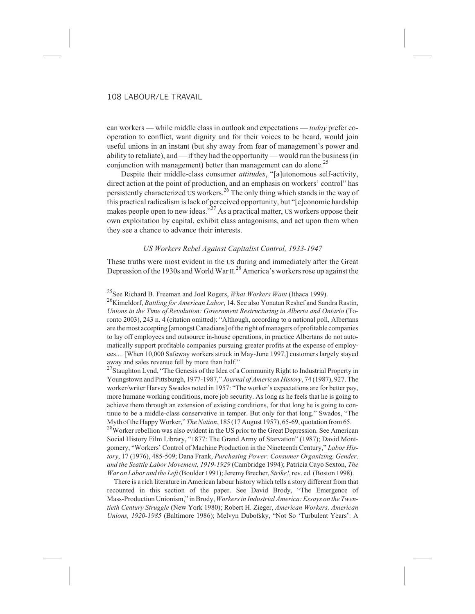can workers — while middle class in outlook and expectations — *today* prefer cooperation to conflict, want dignity and for their voices to be heard, would join useful unions in an instant (but shy away from fear of management's power and ability to retaliate), and — if they had the opportunity — would run the business (in conjunction with management) better than management can do alone.<sup>25</sup>

Despite their middle-class consumer *attitudes*, "[a]utonomous self-activity, direct action at the point of production, and an emphasis on workers' control" has persistently characterized US workers.<sup>26</sup> The only thing which stands in the way of this practical radicalism is lack of perceived opportunity, but "[e]conomic hardship makes people open to new ideas."<sup>27</sup> As a practical matter, US workers oppose their own exploitation by capital, exhibit class antagonisms, and act upon them when they see a chance to advance their interests.

#### *US Workers Rebel Against Capitalist Control, 1933-1947*

These truths were most evident in the US during and immediately after the Great Depression of the 1930s and World War  $II.^{28}$  America's workers rose up against the

# 25See Richard B. Freeman and Joel Rogers, *What Workers Want* (Ithaca 1999).

26Kimeldorf, *Battling for American Labor*, 14. See also Yonatan Reshef and Sandra Rastin, *Unions in the Time of Revolution: Government Restructuring in Alberta and Ontario* (Toronto 2003), 243 n. 4 (citation omitted): "Although, according to a national poll, Albertans are the most accepting [amongst Canadians] of the right of managers of profitable companies to lay off employees and outsource in-house operations, in practice Albertans do not automatically support profitable companies pursuing greater profits at the expense of employees.... [When 10,000 Safeway workers struck in May-June 1997,] customers largely stayed away and sales revenue fell by more than half."

 $27$ Staughton Lynd, "The Genesis of the Idea of a Community Right to Industrial Property in Youngstown and Pittsburgh, 1977-1987," *Journal of American History*, 74 (1987), 927. The worker/writer Harvey Swados noted in 1957: "The worker's expectations are for better pay, more humane working conditions, more job security. As long as he feels that he is going to achieve them through an extension of existing conditions, for that long he is going to continue to be a middle-class conservative in temper. But only for that long." Swados, "The Myth of the Happy Worker," *The Nation*, 185 (17 August 1957), 65-69, quotation from 65.

<sup>28</sup>Worker rebellion was also evident in the US prior to the Great Depression. See American Social History Film Library, "1877: The Grand Army of Starvation" (1987); David Montgomery, "Workers' Control of Machine Production in the Nineteenth Century," *Labor History*, 17 (1976), 485-509; Dana Frank, *Purchasing Power: Consumer Organizing, Gender, and the Seattle Labor Movement, 1919-1929* (Cambridge 1994); Patricia Cayo Sexton, *The War on Labor and the Left*(Boulder 1991); Jeremy Brecher, *Strike!*, rev. ed. (Boston 1998).

There is a rich literature in American labour history which tells a story different from that recounted in this section of the paper. See David Brody, "The Emergence of Mass-Production Unionism," in Brody, *Workers in Industrial America: Essays on the Twentieth Century Struggle* (New York 1980); Robert H. Zieger, *American Workers, American Unions, 1920-1985* (Baltimore 1986); Melvyn Dubofsky, "Not So 'Turbulent Years': A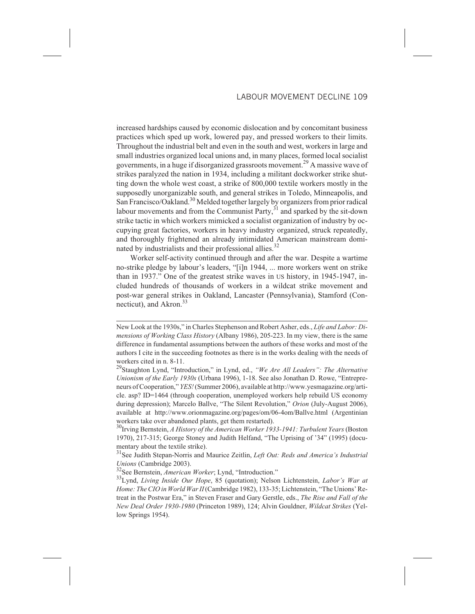increased hardships caused by economic dislocation and by concomitant business practices which sped up work, lowered pay, and pressed workers to their limits. Throughout the industrial belt and even in the south and west, workers in large and small industries organized local unions and, in many places, formed local socialist governments, in a huge if disorganized grassroots movement.<sup>29</sup> A massive wave of strikes paralyzed the nation in 1934, including a militant dockworker strike shutting down the whole west coast, a strike of 800,000 textile workers mostly in the supposedly unorganizable south, and general strikes in Toledo, Minneapolis, and San Francisco/Oakland.<sup>30</sup> Melded together largely by organizers from prior radical labour movements and from the Communist Party, $31$  and sparked by the sit-down strike tactic in which workers mimicked a socialist organization of industry by occupying great factories, workers in heavy industry organized, struck repeatedly, and thoroughly frightened an already intimidated American mainstream dominated by industrialists and their professional allies.<sup>32</sup>

Worker self-activity continued through and after the war. Despite a wartime no-strike pledge by labour's leaders, "[i]n 1944, ... more workers went on strike than in 1937." One of the greatest strike waves in US history, in 1945-1947, included hundreds of thousands of workers in a wildcat strike movement and post-war general strikes in Oakland, Lancaster (Pennsylvania), Stamford (Connecticut), and Akron. $33$ 

New Look at the 1930s," in Charles Stephenson and Robert Asher, eds., *Life and Labor: Dimensions of Working Class History* (Albany 1986), 205-223. In my view, there is the same difference in fundamental assumptions between the authors of these works and most of the authors I cite in the succeeding footnotes as there is in the works dealing with the needs of workers cited in n. 8-11.

<sup>29</sup>Staughton Lynd, "Introduction," in Lynd, ed., *"We Are All Leaders": The Alternative Unionism of the Early 1930s* (Urbana 1996), 1-18. See also Jonathan D. Rowe, "Entrepreneurs of Cooperation," *YES!*(Summer 2006), available at http://www.yesmagazine.org/article. asp? ID=1464 (through cooperation, unemployed workers help rebuild US economy during depression); Marcelo Ballve, "The Silent Revolution," *Orion* (July-August 2006), available at http://www.orionmagazine.org/pages/om/06-4om/Ballve.html (Argentinian workers take over abandoned plants, get them restarted).

<sup>30</sup>Irving Bernstein, *A History of the American Worker 1933-1941: Turbulent Years* (Boston 1970), 217-315; George Stoney and Judith Helfand, "The Uprising of '34" (1995) (documentary about the textile strike).

<sup>31</sup>See Judith Stepan-Norris and Maurice Zeitlin, *Left Out: Reds and America's Industrial Unions* (Cambridge 2003).

<sup>&</sup>lt;sup>32</sup>See Bernstein, *American Worker*; Lynd, "Introduction."

<sup>33</sup>Lynd, *Living Inside Our Hope*, 85 (quotation); Nelson Lichtenstein, *Labor's War at Home: The CIO in World War II*(Cambridge 1982), 133-35; Lichtenstein, "The Unions' Retreat in the Postwar Era," in Steven Fraser and Gary Gerstle, eds., *The Rise and Fall of the New Deal Order 1930-1980* (Princeton 1989), 124; Alvin Gouldner, *Wildcat Strikes* (Yellow Springs 1954).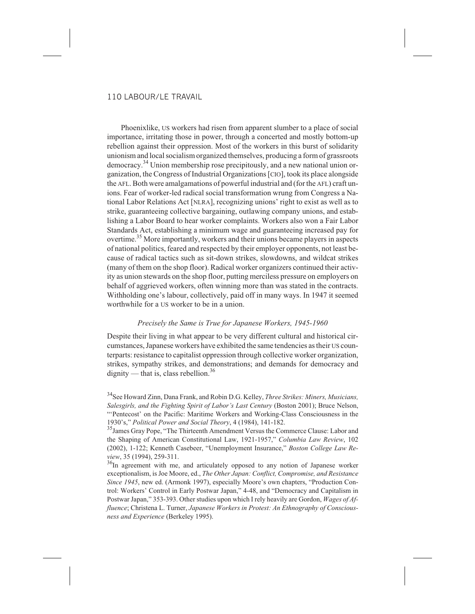Phoenixlike, US workers had risen from apparent slumber to a place of social importance, irritating those in power, through a concerted and mostly bottom-up rebellion against their oppression. Most of the workers in this burst of solidarity unionism and local socialism organized themselves, producing a form of grassroots democracy.<sup>34</sup> Union membership rose precipitously, and a new national union organization, the Congress of Industrial Organizations [CIO], took its place alongside the AFL. Both were amalgamations of powerful industrial and (for the AFL) craft unions. Fear of worker-led radical social transformation wrung from Congress a National Labor Relations Act [NLRA], recognizing unions' right to exist as well as to strike, guaranteeing collective bargaining, outlawing company unions, and establishing a Labor Board to hear worker complaints. Workers also won a Fair Labor Standards Act, establishing a minimum wage and guaranteeing increased pay for overtime.<sup>35</sup> More importantly, workers and their unions became players in aspects of national politics, feared and respected by their employer opponents, not least because of radical tactics such as sit-down strikes, slowdowns, and wildcat strikes (many of them on the shop floor). Radical worker organizers continued their activity as union stewards on the shop floor, putting merciless pressure on employers on behalf of aggrieved workers, often winning more than was stated in the contracts. Withholding one's labour, collectively, paid off in many ways. In 1947 it seemed worthwhile for a US worker to be in a union.

#### *Precisely the Same is True for Japanese Workers, 1945-1960*

Despite their living in what appear to be very different cultural and historical circumstances, Japanese workers have exhibited the same tendencies as their US counterparts: resistance to capitalist oppression through collective worker organization, strikes, sympathy strikes, and demonstrations; and demands for democracy and dignity — that is, class rebellion.<sup>36</sup>

34See Howard Zinn, Dana Frank, and Robin D.G. Kelley, *Three Strikes: Miners, Musicians, Salesgirls, and the Fighting Spirit of Labor's Last Century* (Boston 2001); Bruce Nelson, "'Pentecost' on the Pacific: Maritime Workers and Working-Class Consciousness in the 1930's," *Political Power and Social Theory*, 4 (1984), 141-182.

35James Gray Pope, "The Thirteenth Amendment Versus the Commerce Clause: Labor and the Shaping of American Constitutional Law, 1921-1957," *Columbia Law Review*, 102 (2002), 1-122; Kenneth Casebeer, "Unemployment Insurance," *Boston College Law Review*, 35 (1994), 259-311.

<sup>36</sup>In agreement with me, and articulately opposed to any notion of Japanese worker exceptionalism, is Joe Moore, ed., *The Other Japan: Conflict, Compromise, and Resistance Since 1945*, new ed. (Armonk 1997), especially Moore's own chapters, "Production Control: Workers' Control in Early Postwar Japan," 4-48, and "Democracy and Capitalism in Postwar Japan," 353-393. Other studies upon which I rely heavily are Gordon, *Wages of Affluence*; Christena L. Turner, *Japanese Workers in Protest: An Ethnography of Consciousness and Experience* (Berkeley 1995).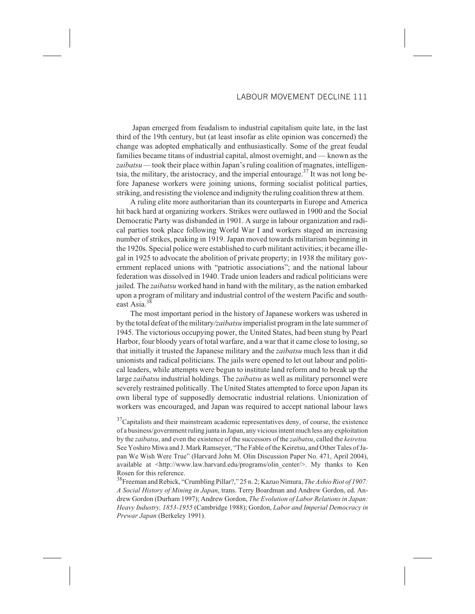# LABOUR MOVEMENT DECLINE 111

Japan emerged from feudalism to industrial capitalism quite late, in the last third of the 19th century, but (at least insofar as elite opinion was concerned) the change was adopted emphatically and enthusiastically. Some of the great feudal families became titans of industrial capital, almost overnight, and — known as the *zaibatsu —* took their place within Japan's ruling coalition of magnates, intelligentsia, the military, the aristocracy, and the imperial entourage.<sup>37</sup> It was not long before Japanese workers were joining unions, forming socialist political parties, striking, and resisting the violence and indignity the ruling coalition threw at them.

A ruling elite more authoritarian than its counterparts in Europe and America hit back hard at organizing workers. Strikes were outlawed in 1900 and the Social Democratic Party was disbanded in 1901. A surge in labour organization and radical parties took place following World War I and workers staged an increasing number of strikes, peaking in 1919. Japan moved towards militarism beginning in the 1920s. Special police were established to curb militant activities; it became illegal in 1925 to advocate the abolition of private property; in 1938 the military government replaced unions with "patriotic associations"; and the national labour federation was dissolved in 1940. Trade union leaders and radical politicians were jailed. The *zaibatsu* worked hand in hand with the military, as the nation embarked upon a program of military and industrial control of the western Pacific and southeast Asia.<sup>3</sup>

The most important period in the history of Japanese workers was ushered in by the total defeat of the military*/zaibatsu* imperialist program in the late summer of 1945. The victorious occupying power, the United States, had been stung by Pearl Harbor, four bloody years of total warfare, and a war that it came close to losing, so that initially it trusted the Japanese military and the *zaibatsu* much less than it did unionists and radical politicians. The jails were opened to let out labour and political leaders, while attempts were begun to institute land reform and to break up the large *zaibatsu* industrial holdings. The *zaibatsu* as well as military personnel were severely restrained politically. The United States attempted to force upon Japan its own liberal type of supposedly democratic industrial relations. Unionization of workers was encouraged, and Japan was required to accept national labour laws

 $37$ Capitalists and their mainstream academic representatives deny, of course, the existence of a business/government ruling junta in Japan, any vicious intent much less any exploitation by the *zaibatsu*, and even the existence of the successors of the *zaibatsu*, called the *keiretsu.* See Yoshiro Miwa and J. Mark Ramseyer, "The Fable of the Keiretsu, and Other Tales of Japan We Wish Were True" (Harvard John M. Olin Discussion Paper No. 471, April 2004), available at <http://www.law.harvard.edu/programs/olin\_center/>. My thanks to Ken Rosen for this reference.

38Freeman and Rebick, "Crumbling Pillar?," 25 n. 2; Kazuo Nimura, *The Ashio Riot of 1907: A Social History of Mining in Japan*, trans. Terry Boardman and Andrew Gordon, ed. Andrew Gordon (Durham 1997); Andrew Gordon, *The Evolution of Labor Relations in Japan: Heavy Industry, 1853-1955* (Cambridge 1988); Gordon, *Labor and Imperial Democracy in Prewar Japan* (Berkeley 1991).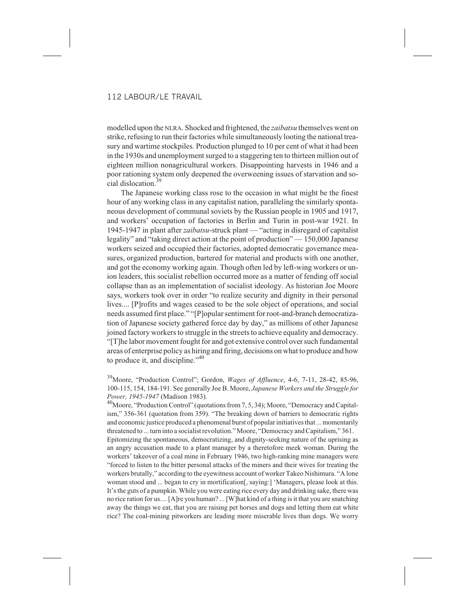modelled upon the NLRA. Shocked and frightened, the *zaibatsu* themselves went on strike, refusing to run their factories while simultaneously looting the national treasury and wartime stockpiles. Production plunged to 10 per cent of what it had been in the 1930s and unemployment surged to a staggering ten to thirteen million out of eighteen million nonagricultural workers. Disappointing harvests in 1946 and a poor rationing system only deepened the overweening issues of starvation and social dislocation.39

The Japanese working class rose to the occasion in what might be the finest hour of any working class in any capitalist nation, paralleling the similarly spontaneous development of communal soviets by the Russian people in 1905 and 1917, and workers' occupation of factories in Berlin and Turin in post-war 1921. In 1945-1947 in plant after *zaibatsu*-struck plant — "acting in disregard of capitalist legality" and "taking direct action at the point of production" — 150,000 Japanese workers seized and occupied their factories, adopted democratic governance measures, organized production, bartered for material and products with one another, and got the economy working again. Though often led by left-wing workers or union leaders, this socialist rebellion occurred more as a matter of fending off social collapse than as an implementation of socialist ideology. As historian Joe Moore says, workers took over in order "to realize security and dignity in their personal lives.... [P]rofits and wages ceased to be the sole object of operations, and social needs assumed first place." "[P]opular sentiment for root-and-branch democratization of Japanese society gathered force day by day," as millions of other Japanese joined factory workers to struggle in the streets to achieve equality and democracy. "[T]he labor movement fought for and got extensive control over such fundamental areas of enterprise policy as hiring and firing, decisions on what to produce and how to produce it, and discipline."<sup>40</sup>

39Moore, "Production Control"; Gordon, *Wages of Affluence*, 4-6, 7-11, 28-42, 85-96, 100-115, 154, 184-191. See generally Joe B. Moore, *Japanese Workers and the Struggle for Power, 1945-1947* (Madison 1983).

<sup>40</sup>Moore, "Production Control" (quotations from 7, 5, 34); Moore, "Democracy and Capitalism," 356-361 (quotation from 359). "The breaking down of barriers to democratic rights and economic justice produced a phenomenal burst of popular initiatives that ... momentarily threatened to ... turn into a socialist revolution." Moore, "Democracy and Capitalism," 361. Epitomizing the spontaneous, democratizing, and dignity-seeking nature of the uprising as an angry accusation made to a plant manager by a theretofore meek woman. During the workers' takeover of a coal mine in February 1946, two high-ranking mine managers were "forced to listen to the bitter personal attacks of the miners and their wives for treating the workers brutally," according to the eyewitness account of worker Takeo Nishimura. "A lone woman stood and ... began to cry in mortification[, saying:] 'Managers, please look at this. It's the guts of a pumpkin. While you were eating rice every day and drinking sake, there was no rice ration for us.... [A]re you human? ... [W]hat kind of a thing is it that you are snatching away the things we eat, that you are raising pet horses and dogs and letting them eat white rice? The coal-mining pitworkers are leading more miserable lives than dogs. We worry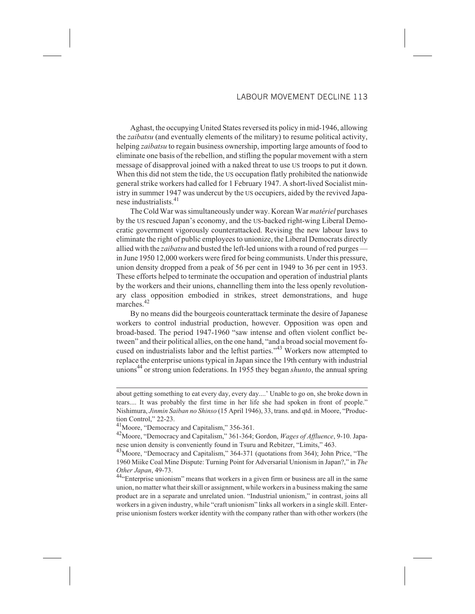Aghast, the occupying United States reversed its policy in mid-1946, allowing the *zaibatsu* (and eventually elements of the military) to resume political activity, helping *zaibatsu* to regain business ownership, importing large amounts of food to eliminate one basis of the rebellion, and stifling the popular movement with a stern message of disapproval joined with a naked threat to use US troops to put it down. When this did not stem the tide, the US occupation flatly prohibited the nationwide general strike workers had called for 1 February 1947. A short-lived Socialist ministry in summer 1947 was undercut by the US occupiers, aided by the revived Japanese industrialists.<sup>41</sup>

The Cold War was simultaneously under way. Korean War *matériel* purchases by the US rescued Japan's economy, and the US-backed right-wing Liberal Democratic government vigorously counterattacked. Revising the new labour laws to eliminate the right of public employees to unionize, the Liberal Democrats directly allied with the *zaibatsu* and busted the left-led unions with a round of red purges in June 1950 12,000 workers were fired for being communists. Under this pressure, union density dropped from a peak of 56 per cent in 1949 to 36 per cent in 1953. These efforts helped to terminate the occupation and operation of industrial plants by the workers and their unions, channelling them into the less openly revolutionary class opposition embodied in strikes, street demonstrations, and huge marches.<sup>42</sup>

By no means did the bourgeois counterattack terminate the desire of Japanese workers to control industrial production, however. Opposition was open and broad-based. The period 1947-1960 "saw intense and often violent conflict between" and their political allies, on the one hand, "and a broad social movement focused on industrialists labor and the leftist parties."<sup>43</sup> Workers now attempted to replace the enterprise unions typical in Japan since the 19th century with industrial unions<sup>44</sup> or strong union federations. In 1955 they began *shunto*, the annual spring

about getting something to eat every day, every day....' Unable to go on, she broke down in tears.... It was probably the first time in her life she had spoken in front of people." Nishimura, *Jinmin Saiban no Shinso* (15 April 1946), 33, trans. and qtd. in Moore, "Production Control," 22-23.

<sup>&</sup>lt;sup>41</sup>Moore, "Democracy and Capitalism," 356-361.

<sup>42</sup>Moore, "Democracy and Capitalism," 361-364; Gordon, *Wages of Affluence*, 9-10. Japanese union density is conveniently found in Tsuru and Rebitzer, "Limits," 463.

<sup>43</sup>Moore, "Democracy and Capitalism," 364-371 (quotations from 364); John Price, "The 1960 Miike Coal Mine Dispute: Turning Point for Adversarial Unionism in Japan?," in *The Other Japan*, 49-73.

<sup>&</sup>lt;sup>44</sup>"Enterprise unionism" means that workers in a given firm or business are all in the same union, no matter what their skill or assignment, while workers in a business making the same product are in a separate and unrelated union. "Industrial unionism," in contrast, joins all workers in a given industry, while "craft unionism" links all workers in a single skill. Enterprise unionism fosters worker identity with the company rather than with other workers (the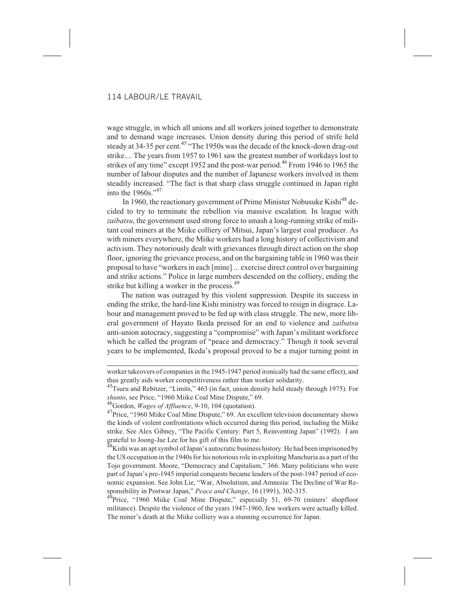wage struggle, in which all unions and all workers joined together to demonstrate and to demand wage increases. Union density during this period of strife held steady at  $34-35$  per cent.<sup>45</sup> "The 1950s was the decade of the knock-down drag-out strike.... The years from 1957 to 1961 saw the greatest number of workdays lost to strikes of any time" except 1952 and the post-war period.<sup>46</sup> From 1946 to 1965 the number of labour disputes and the number of Japanese workers involved in them steadily increased. "The fact is that sharp class struggle continued in Japan right into the  $1960s$ ."<sup>47</sup>

In 1960, the reactionary government of Prime Minister Nobusuke Kishi<sup>48</sup> decided to try to terminate the rebellion via massive escalation. In league with *zaibatsu*, the government used strong force to smash a long-running strike of militant coal miners at the Miike colliery of Mitsui, Japan's largest coal producer. As with miners everywhere, the Miike workers had a long history of collectivism and activism. They notoriously dealt with grievances through direct action on the shop floor, ignoring the grievance process, and on the bargaining table in 1960 was their proposal to have "workers in each [mine] ... exercise direct control over bargaining and strike actions." Police in large numbers descended on the colliery, ending the strike but killing a worker in the process.<sup>49</sup>

The nation was outraged by this violent suppression. Despite its success in ending the strike, the hard-line Kishi ministry was forced to resign in disgrace. Labour and management proved to be fed up with class struggle. The new, more liberal government of Hayato Ikeda pressed for an end to violence and *zaibatsu* anti-union autocracy, suggesting a "compromise" with Japan's militant workforce which he called the program of "peace and democracy." Though it took several years to be implemented, Ikeda's proposal proved to be a major turning point in

<sup>45</sup>Tsuru and Rebitzer, "Limits," 463 (in fact, union density held steady through 1975). For *shunto*, see Price, "1960 Miike Coal Mine Dispute," 69.

46Gordon, *Wages of Affluence*, 9-10, 104 (quotation).

<sup>47</sup>Price, "1960 Miike Coal Mine Dispute," 69. An excellent television documentary shows the kinds of violent confrontations which occurred during this period, including the Miike strike. See Alex Gibney, "The Pacific Century: Part 5, Reinventing Japan" (1992). I am grateful to Joong-Jae Lee for his gift of this film to me.

 $^{48}$ Kishi was an apt symbol of Japan's autocratic business history. He had been imprisoned by the US occupation in the 1940s for his notorious role in exploiting Manchuria as a part of the Tojo government. Moore, "Democracy and Capitalism," 366. Many politicians who were part of Japan's pre-1945 imperial conquests became leaders of the post-1947 period of economic expansion. See John Lie, "War, Absolutism, and Amnesia: The Decline of War Responsibility in Postwar Japan," *Peace and Change*, 16 (1991), 302-315.

<sup>49</sup>Price, "1960 Miike Coal Mine Dispute," especially 51, 69-70 (miners' shopfloor militance). Despite the violence of the years 1947-1960, few workers were actually killed. The miner's death at the Miike colliery was a stunning occurrence for Japan.

worker takeovers of companies in the 1945-1947 period ironically had the same effect), and thus greatly aids worker competitiveness rather than worker solidarity.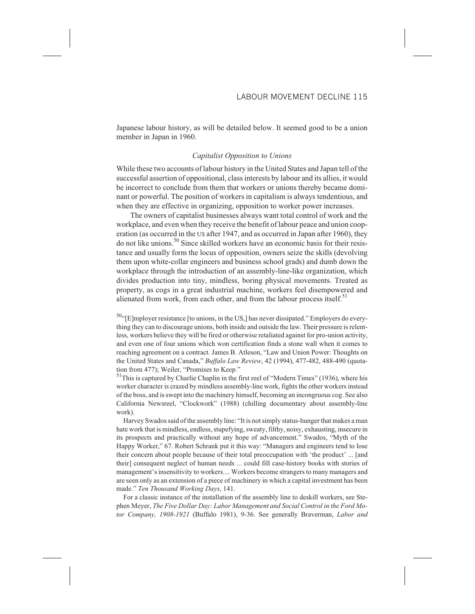Japanese labour history, as will be detailed below. It seemed good to be a union member in Japan in 1960.

#### *Capitalist Opposition to Unions*

While these two accounts of labour history in the United States and Japan tell of the successful assertion of oppositional, class interests by labour and its allies, it would be incorrect to conclude from them that workers or unions thereby became dominant or powerful. The position of workers in capitalism is always tendentious, and when they are effective in organizing, opposition to worker power increases.

The owners of capitalist businesses always want total control of work and the workplace, and even when they receive the benefit of labour peace and union cooperation (as occurred in the US after 1947, and as occurred in Japan after 1960), they do not like unions.<sup>50</sup> Since skilled workers have an economic basis for their resistance and usually form the locus of opposition, owners seize the skills (devolving them upon white-collar engineers and business school grads) and dumb down the workplace through the introduction of an assembly-line-like organization, which divides production into tiny, mindless, boring physical movements. Treated as property, as cogs in a great industrial machine, workers feel disempowered and alienated from work, from each other, and from the labour process itself.<sup>51</sup>

 $50$ . [Elmployer resistance [to unions, in the US,] has never dissipated." Employers do everything they can to discourage unions, both inside and outside the law. Their pressure is relentless, workers believe they will be fired or otherwise retaliated against for pro-union activity, and even one of four unions which won certification finds a stone wall when it comes to reaching agreement on a contract. James B. Atleson, "Law and Union Power: Thoughts on the United States and Canada," *Buffalo Law Review*, 42 (1994), 477-482, 488-490 (quotation from 477); Weiler, "Promises to Keep."

51This is captured by Charlie Chaplin in the first reel of "Modern Times" (1936), where his worker character is crazed by mindless assembly-line work, fights the other workers instead of the boss, and is swept into the machinery himself, becoming an incongruous cog. See also California Newsreel, "Clockwork" (1988) (chilling documentary about assembly-line work).

Harvey Swados said of the assembly line: "It is not simply status-hunger that makes a man hate work that is mindless, endless, stupefying, sweaty, filthy, noisy, exhausting, insecure in its prospects and practically without any hope of advancement." Swados, "Myth of the Happy Worker," 67. Robert Schrank put it this way: "Managers and engineers tend to lose their concern about people because of their total preoccupation with 'the product' ... [and their] consequent neglect of human needs ... could fill case-history books with stories of management's insensitivity to workers.... Workers become strangers to many managers and are seen only as an extension of a piece of machinery in which a capital investment has been made." *Ten Thousand Working Days*, 141.

For a classic instance of the installation of the assembly line to deskill workers, see Stephen Meyer, *The Five Dollar Day: Labor Management and Social Control in the Ford Motor Company, 1908-1921* (Buffalo 1981), 9-36. See generally Braverman, *Labor and*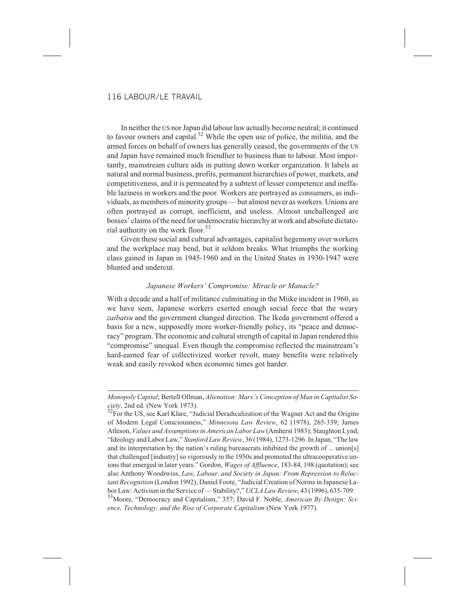In neither the US nor Japan did labour law actually become neutral; it continued to favour owners and capital.<sup>52</sup> While the open use of police, the militia, and the armed forces on behalf of owners has generally ceased, the governments of the US and Japan have remained much friendlier to business than to labour. Most importantly, mainstream culture aids in putting down worker organization. It labels as natural and normal business, profits, permanent hierarchies of power, markets, and competitiveness, and it is permeated by a subtext of lesser competence and ineffable laziness in workers and the poor. Workers are portrayed as consumers, as individuals, as members of minority groups — but almost never as workers. Unions are often portrayed as corrupt, inefficient, and useless. Almost unchallenged are bosses' claims of the need for undemocratic hierarchy at work and absolute dictatorial authority on the work floor.<sup>53</sup>

Given these social and cultural advantages, capitalist hegemony over workers and the workplace may bend, but it seldom breaks. What triumphs the working class gained in Japan in 1945-1960 and in the United States in 1930-1947 were blunted and undercut.

# *Japanese Workers' Compromise: Miracle or Manacle?*

With a decade and a half of militance culminating in the Miike incident in 1960, as we have seen, Japanese workers exerted enough social force that the weary *zaibatsu* and the government changed direction. The Ikeda government offered a basis for a new, supposedly more worker-friendly policy, its "peace and democracy" program. The economic and cultural strength of capital in Japan rendered this "compromise" unequal. Even though the compromise reflected the mainstream's hard-earned fear of collectivized worker revolt, many benefits were relatively weak and easily revoked when economic times got harder.

*Monopoly Capital*; Bertell Ollman, *Alienation: Marx's Conception of Man in Capitalist Society*, 2nd ed. (New York 1973).

<sup>52</sup>For the US, see Karl Klare, "Judicial Deradicalization of the Wagner Act and the Origins of Modern Legal Consciousness," *Minnesota Law Review*, 62 (1978), 265-339; James Atleson, *Values and Assumptions in American Labor Law*(Amherst 1983); Staughton Lynd, "Ideology and Labor Law," *Stanford Law Review*, 36 (1984), 1273-1296. In Japan, "The law and its interpretation by the nation's ruling bureaucrats inhibited the growth of ... union[s] that challenged [industry] so vigorously in the 1950s and promoted the ultracooperative unions that emerged in later years." Gordon, *Wages of Affluence*, 183-84, 198 (quotation); see also Anthony Woodiwiss, *Law, Labour, and Society in Japan: From Repression to Reluctant Recognition* (London 1992); Daniel Foote, "Judicial Creation of Norms in Japanese Labor Law: Activism in the Service of — Stability?," *UCLA Law Review*, 43 (1996), 635-709.

<sup>53</sup>Moore, "Democracy and Capitalism," 357; David F. Noble, *American By Design: Science, Technology, and the Rise of Corporate Capitalism* (New York 1977).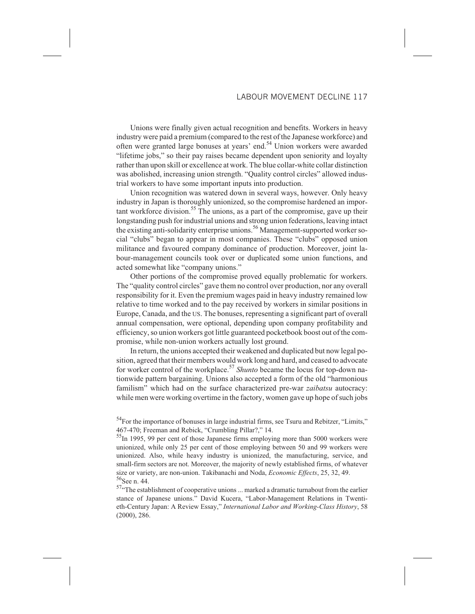Unions were finally given actual recognition and benefits. Workers in heavy industry were paid a premium (compared to the rest of the Japanese workforce) and often were granted large bonuses at years' end.<sup>54</sup> Union workers were awarded "lifetime jobs," so their pay raises became dependent upon seniority and loyalty rather than upon skill or excellence at work. The blue collar-white collar distinction was abolished, increasing union strength. "Quality control circles" allowed industrial workers to have some important inputs into production.

Union recognition was watered down in several ways, however. Only heavy industry in Japan is thoroughly unionized, so the compromise hardened an impor- $\tan$ t workforce division.<sup>55</sup> The unions, as a part of the compromise, gave up their longstanding push for industrial unions and strong union federations, leaving intact the existing anti-solidarity enterprise unions.<sup>56</sup> Management-supported worker social "clubs" began to appear in most companies. These "clubs" opposed union militance and favoured company dominance of production. Moreover, joint labour-management councils took over or duplicated some union functions, and acted somewhat like "company unions."

Other portions of the compromise proved equally problematic for workers. The "quality control circles" gave them no control over production, nor any overall responsibility for it. Even the premium wages paid in heavy industry remained low relative to time worked and to the pay received by workers in similar positions in Europe, Canada, and the US. The bonuses, representing a significant part of overall annual compensation, were optional, depending upon company profitability and efficiency, so union workers got little guaranteed pocketbook boost out of the compromise, while non-union workers actually lost ground.

In return, the unions accepted their weakened and duplicated but now legal position, agreed that their members would work long and hard, and ceased to advocate for worker control of the workplace.<sup>57</sup> *Shunto* became the locus for top-down nationwide pattern bargaining. Unions also accepted a form of the old "harmonious familism" which had on the surface characterized pre-war *zaibatsu* autocracy: while men were working overtime in the factory, women gave up hope of such jobs

 $54$ For the importance of bonuses in large industrial firms, see Tsuru and Rebitzer, "Limits," 467-470; Freeman and Rebick, "Crumbling Pillar?," 14.

 $55$ In 1995, 99 per cent of those Japanese firms employing more than 5000 workers were unionized, while only 25 per cent of those employing between 50 and 99 workers were unionized. Also, while heavy industry is unionized, the manufacturing, service, and small-firm sectors are not. Moreover, the majority of newly established firms, of whatever size or variety, are non-union. Takibanachi and Noda, *Economic Effects*, 25, 32, 49. <sup>56</sup>See n. 44.

 $57$ "The establishment of cooperative unions ... marked a dramatic turnabout from the earlier stance of Japanese unions." David Kucera, "Labor-Management Relations in Twentieth-Century Japan: A Review Essay," *International Labor and Working-Class History*, 58 (2000), 286.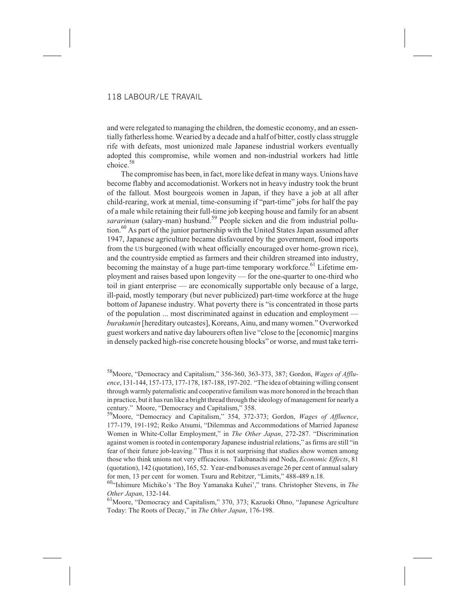and were relegated to managing the children, the domestic economy, and an essentially fatherless home. Wearied by a decade and a half of bitter, costly class struggle rife with defeats, most unionized male Japanese industrial workers eventually adopted this compromise, while women and non-industrial workers had little  $choice<sup>58</sup>$ 

The compromise has been, in fact, more like defeat in many ways. Unions have become flabby and accomodationist. Workers not in heavy industry took the brunt of the fallout. Most bourgeois women in Japan, if they have a job at all after child-rearing, work at menial, time-consuming if "part-time" jobs for half the pay of a male while retaining their full-time job keeping house and family for an absent sarariman (salary-man) husband.<sup>59</sup> People sicken and die from industrial pollution.<sup>60</sup> As part of the junior partnership with the United States Japan assumed after 1947, Japanese agriculture became disfavoured by the government, food imports from the US burgeoned (with wheat officially encouraged over home-grown rice), and the countryside emptied as farmers and their children streamed into industry, becoming the mainstay of a huge part-time temporary workforce.<sup>61</sup> Lifetime employment and raises based upon longevity — for the one-quarter to one-third who toil in giant enterprise — are economically supportable only because of a large, ill-paid, mostly temporary (but never publicized) part-time workforce at the huge bottom of Japanese industry. What poverty there is "is concentrated in those parts of the population ... most discriminated against in education and employment *burakumin* [hereditary outcastes], Koreans, Ainu, and many women." Overworked guest workers and native day labourers often live "close to the [economic] margins in densely packed high-rise concrete housing blocks" or worse, and must take terri-

<sup>58</sup>Moore, "Democracy and Capitalism," 356-360, 363-373, 387; Gordon, *Wages of Affluence*, 131-144, 157-173, 177-178, 187-188, 197-202. "The idea of obtaining willing consent through warmly paternalistic and cooperative familism was more honored in the breach than in practice, but it has run like a bright thread through the ideology of management for nearly a century." Moore, "Democracy and Capitalism," 358.

<sup>59</sup>Moore, "Democracy and Capitalism," 354, 372-373; Gordon, *Wages of Affluence*, 177-179, 191-192; Reiko Atsumi, "Dilemmas and Accommodations of Married Japanese Women in White-Collar Employment," in *The Other Japan*, 272-287. "Discrimination against women is rooted in contemporary Japanese industrial relations," as firms are still "in fear of their future job-leaving." Thus it is not surprising that studies show women among those who think unions not very efficacious. Takibanachi and Noda, *Economic Effects*, 81 (quotation), 142 (quotation), 165, 52. Year-end bonuses average 26 per cent of annual salary for men, 13 per cent for women. Tsuru and Rebitzer, "Limits," 488-489 n.18.

<sup>60&</sup>quot;Ishimure Michiko's 'The Boy Yamanaka Kuhei'," trans. Christopher Stevens, in *The Other Japan*, 132-144.

<sup>&</sup>lt;sup>61</sup>Moore, "Democracy and Capitalism," 370, 373; Kazuoki Ohno, "Japanese Agriculture Today: The Roots of Decay," in *The Other Japan*, 176-198.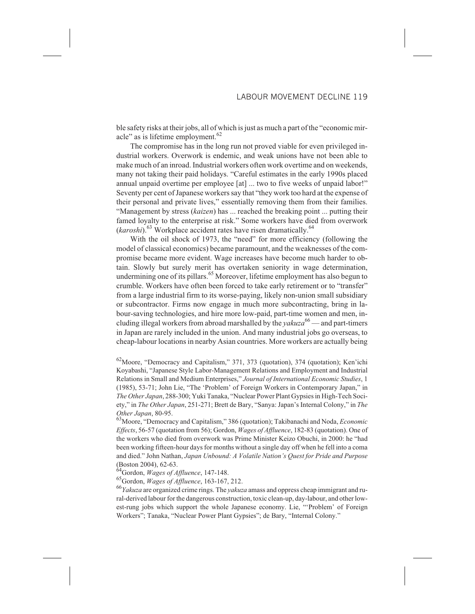ble safety risks at their jobs, all of which is just as much a part of the "economic miracle" as is lifetime employment. $62$ 

The compromise has in the long run not proved viable for even privileged industrial workers. Overwork is endemic, and weak unions have not been able to make much of an inroad. Industrial workers often work overtime and on weekends, many not taking their paid holidays. "Careful estimates in the early 1990s placed annual unpaid overtime per employee [at] ... two to five weeks of unpaid labor!" Seventy per cent of Japanese workers say that "they work too hard at the expense of their personal and private lives," essentially removing them from their families. "Management by stress (*kaizen*) has ... reached the breaking point ... putting their famed loyalty to the enterprise at risk." Some workers have died from overwork (*karoshi*).<sup>63</sup> Workplace accident rates have risen dramatically.<sup>64</sup>

With the oil shock of 1973, the "need" for more efficiency (following the model of classical economics) became paramount, and the weaknesses of the compromise became more evident. Wage increases have become much harder to obtain. Slowly but surely merit has overtaken seniority in wage determination, undermining one of its pillars.<sup>65</sup> Moreover, lifetime employment has also begun to crumble. Workers have often been forced to take early retirement or to "transfer" from a large industrial firm to its worse-paying, likely non-union small subsidiary or subcontractor. Firms now engage in much more subcontracting, bring in labour-saving technologies, and hire more low-paid, part-time women and men, including illegal workers from abroad marshalled by the  $yakuza^{66}$  — and part-timers in Japan are rarely included in the union. And many industrial jobs go overseas, to cheap-labour locations in nearby Asian countries. More workers are actually being

 $^{62}$ Moore, "Democracy and Capitalism," 371, 373 (quotation), 374 (quotation); Ken'ichi Koyabashi, "Japanese Style Labor-Management Relations and Employment and Industrial Relations in Small and Medium Enterprises," *Journal of International Economic Studies*, 1 (1985), 53-71; John Lie, "The 'Problem' of Foreign Workers in Contemporary Japan," in *The Other Japan*, 288-300; Yuki Tanaka, "Nuclear Power Plant Gypsies in High-Tech Society," in *The Other Japan*, 251-271; Brett de Bary, "Sanya: Japan's Internal Colony," in *The Other Japan*, 80-95.

63Moore, "Democracy and Capitalism," 386 (quotation); Takibanachi and Noda, *Economic Effects*, 56-57 (quotation from 56); Gordon, *Wages of Affluence*, 182-83 (quotation). One of the workers who died from overwork was Prime Minister Keizo Obuchi, in 2000: he "had been working fifteen-hour days for months without a single day off when he fell into a coma and died." John Nathan, *Japan Unbound: A Volatile Nation's Quest for Pride and Purpose* (Boston 2004), 62-63.

64Gordon, *Wages of Affluence*, 147-148.

65Gordon, *Wages of Affluence*, 163-167, 212.

<sup>66</sup>*Yakuza* are organized crime rings. The *yakuza* amass and oppress cheap immigrant and rural-derived labour for the dangerous construction, toxic clean-up, day-labour, and other lowest-rung jobs which support the whole Japanese economy. Lie, "'Problem' of Foreign Workers"; Tanaka, "Nuclear Power Plant Gypsies"; de Bary, "Internal Colony."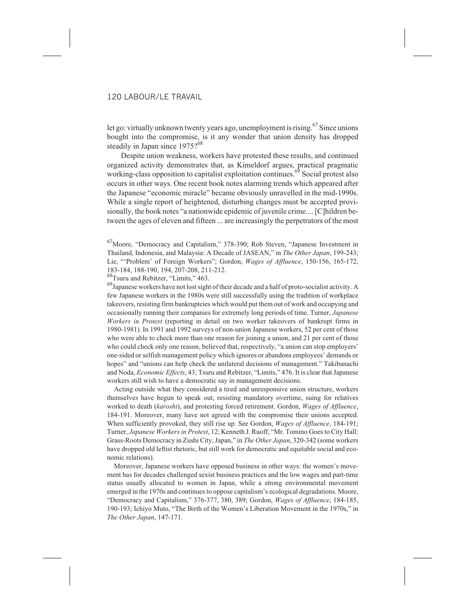let go: virtually unknown twenty years ago, unemployment is rising.<sup>67</sup> Since unions bought into the compromise, is it any wonder that union density has dropped steadily in Japan since 1975?<sup>68</sup>

Despite union weakness, workers have protested these results, and continued organized activity demonstrates that, as Kimeldorf argues, practical pragmatic working-class opposition to capitalist exploitation continues.<sup>69</sup> Social protest also occurs in other ways. One recent book notes alarming trends which appeared after the Japanese "economic miracle" became obviously unravelled in the mid-1990s. While a single report of heightened, disturbing changes must be accepted provisionally, the book notes "a nationwide epidemic of juvenile crime.... [C]hildren between the ages of eleven and fifteen ... are increasingly the perpetrators of the most

67Moore, "Democracy and Capitalism," 378-390; Rob Steven, "Japanese Investment in Thailand, Indonesia, and Malaysia: A Decade of JASEAN," in *The Other Japan*, 199-243; Lie, "'Problem' of Foreign Workers"; Gordon, *Wages of Affluence*, 150-156, 165-172, 183-184, 188-190, 194, 207-208, 211-212.

68Tsuru and Rebitzer, "Limits," 463.

 $^{69}$ Japanese workers have not lost sight of their decade and a half of proto-socialist activity. A few Japanese workers in the 1980s were still successfully using the tradition of workplace takeovers, resisting firm bankruptcies which would put them out of work and occupying and occasionally running their companies for extremely long periods of time. Turner, *Japanese Workers in Protest* (reporting in detail on two worker takeovers of bankrupt firms in 1980-1981). In 1991 and 1992 surveys of non-union Japanese workers, 52 per cent of those who were able to check more than one reason for joining a union, and 21 per cent of those who could check only one reason, believed that, respectively, "a union can stop employers' one-sided or selfish management policy which ignores or abandons employees' demands or hopes" and "unions can help check the unilateral decisions of management." Takibanachi and Noda, *Economic Effects*, 43; Tsuru and Rebitzer, "Limits," 476. It is clear that Japanese workers still wish to have a democratic say in management decisions.

Acting outside what they considered a tired and unresponsive union structure, workers themselves have begun to speak out, resisting mandatory overtime, suing for relatives worked to death (*karoshi*), and protesting forced retirement. Gordon, *Wages of Affluence*, 184-191. Moreover, many have not agreed with the compromise their unions accepted. When sufficiently provoked, they still rise up. See Gordon, *Wages of Affluence*, 184-191; Turner, *Japanese Workers in Protest*, 12; Kenneth J. Ruoff, "Mr. Tomino Goes to City Hall: Grass-Roots Democracy in Zushi City, Japan," in *The Other Japan*, 320-342 (some workers have dropped old leftist rhetoric, but still work for democratic and equitable social and economic relations).

Moreover, Japanese workers have opposed business in other ways: the women's movement has for decades challenged sexist business practices and the low wages and part-time status usually allocated to women in Japan, while a strong environmental movement emerged in the 1970s and continues to oppose capitalism's ecological degradations. Moore, "Democracy and Capitalism," 376-377, 380, 389; Gordon, *Wages of Affluence*, 184-185, 190-193; Ichiyo Muto, "The Birth of the Women's Liberation Movement in the 1970s," in *The Other Japan*, 147-171.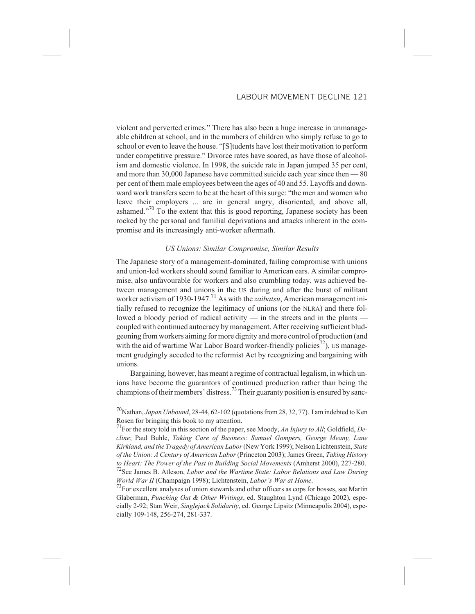violent and perverted crimes." There has also been a huge increase in unmanageable children at school, and in the numbers of children who simply refuse to go to school or even to leave the house. "[S]tudents have lost their motivation to perform under competitive pressure." Divorce rates have soared, as have those of alcoholism and domestic violence. In 1998, the suicide rate in Japan jumped 35 per cent, and more than 30,000 Japanese have committed suicide each year since then — 80 per cent of them male employees between the ages of 40 and 55. Layoffs and downward work transfers seem to be at the heart of this surge: "the men and women who leave their employers ... are in general angry, disoriented, and above all, ashamed. $\frac{1}{10}$  To the extent that this is good reporting, Japanese society has been rocked by the personal and familial deprivations and attacks inherent in the compromise and its increasingly anti-worker aftermath.

#### *US Unions: Similar Compromise, Similar Results*

The Japanese story of a management-dominated, failing compromise with unions and union-led workers should sound familiar to American ears. A similar compromise, also unfavourable for workers and also crumbling today, was achieved between management and unions in the US during and after the burst of militant worker activism of 1930-1947.<sup>71</sup> As with the *zaibatsu*, American management initially refused to recognize the legitimacy of unions (or the NLRA) and there followed a bloody period of radical activity — in the streets and in the plants coupled with continued autocracy by management. After receiving sufficient bludgeoning from workers aiming for more dignity and more control of production (and with the aid of wartime War Labor Board worker-friendly policies<sup>72</sup>), US management grudgingly acceded to the reformist Act by recognizing and bargaining with unions.

Bargaining, however, has meant a regime of contractual legalism, in which unions have become the guarantors of continued production rather than being the champions of their members' distress.<sup>73</sup> Their guaranty position is ensured by sanc-

70Nathan, *Japan Unbound*, 28-44, 62-102 (quotations from 28, 32, 77). I am indebted to Ken Rosen for bringing this book to my attention.

71For the story told in this section of the paper, see Moody, *An Injury to All*; Goldfield, *Decline*; Paul Buhle, *Taking Care of Business: Samuel Gompers, George Meany, Lane Kirkland, and the Tragedy of American Labor*(New York 1999); Nelson Lichtenstein, *State of the Union: A Century of American Labor* (Princeton 2003); James Green, *Taking History to Heart: The Power of the Past in Building Social Movements* (Amherst 2000), 227-280. <sup>72</sup>See James B. Atleson, *Labor and the Wartime State: Labor Relations and Law During World War II* (Champaign 1998); Lichtenstein, *Labor's War at Home*.

<sup>73</sup>For excellent analyses of union stewards and other officers as cops for bosses, see Martin Glaberman, *Punching Out & Other Writings*, ed. Staughton Lynd (Chicago 2002), especially 2-92; Stan Weir, *Singlejack Solidarity*, ed. George Lipsitz (Minneapolis 2004), especially 109-148, 256-274, 281-337.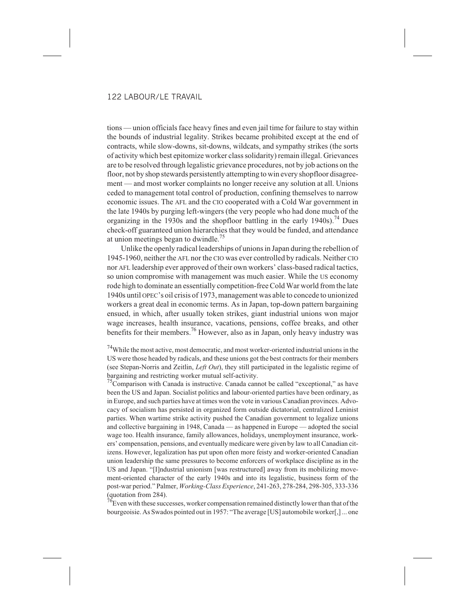tions — union officials face heavy fines and even jail time for failure to stay within the bounds of industrial legality. Strikes became prohibited except at the end of contracts, while slow-downs, sit-downs, wildcats, and sympathy strikes (the sorts of activity which best epitomize worker class solidarity) remain illegal. Grievances are to be resolved through legalistic grievance procedures, not by job actions on the floor, not by shop stewards persistently attempting to win every shopfloor disagreement — and most worker complaints no longer receive any solution at all. Unions ceded to management total control of production, confining themselves to narrow economic issues. The AFL and the CIO cooperated with a Cold War government in the late 1940s by purging left-wingers (the very people who had done much of the organizing in the 1930s and the shopfloor battling in the early 1940s).<sup>74</sup> Dues check-off guaranteed union hierarchies that they would be funded, and attendance at union meetings began to dwindle.<sup>75</sup>

Unlike the openly radical leaderships of unions in Japan during the rebellion of 1945-1960, neither the AFL nor the CIO was ever controlled by radicals. Neither CIO nor AFL leadership ever approved of their own workers' class-based radical tactics, so union compromise with management was much easier. While the US economy rode high to dominate an essentially competition-free Cold War world from the late 1940s until OPEC's oil crisis of 1973, management was able to concede to unionized workers a great deal in economic terms. As in Japan, top-down pattern bargaining ensued, in which, after usually token strikes, giant industrial unions won major wage increases, health insurance, vacations, pensions, coffee breaks, and other benefits for their members.<sup>76</sup> However, also as in Japan, only heavy industry was

 $74$ While the most active, most democratic, and most worker-oriented industrial unions in the US were those headed by radicals, and these unions got the best contracts for their members (see Stepan-Norris and Zeitlin, *Left Out*), they still participated in the legalistic regime of bargaining and restricting worker mutual self-activity.

 $75$ Comparison with Canada is instructive. Canada cannot be called "exceptional," as have been the US and Japan. Socialist politics and labour-oriented parties have been ordinary, as in Europe, and such parties have at times won the vote in various Canadian provinces. Advocacy of socialism has persisted in organized form outside dictatorial, centralized Leninist parties. When wartime strike activity pushed the Canadian government to legalize unions and collective bargaining in 1948, Canada — as happened in Europe — adopted the social wage too. Health insurance, family allowances, holidays, unemployment insurance, workers' compensation, pensions, and eventually medicare were given by law to all Canadian citizens. However, legalization has put upon often more feisty and worker-oriented Canadian union leadership the same pressures to become enforcers of workplace discipline as in the US and Japan. "[I]ndustrial unionism [was restructured] away from its mobilizing movement-oriented character of the early 1940s and into its legalistic, business form of the post-war period." Palmer, *Working-Class Experience*, 241-263, 278-284, 298-305, 333-336 (quotation from 284).

 $^{76}$ Even with these successes, worker compensation remained distinctly lower than that of the bourgeoisie. As Swados pointed out in 1957: "The average [US] automobile worker[,] ... one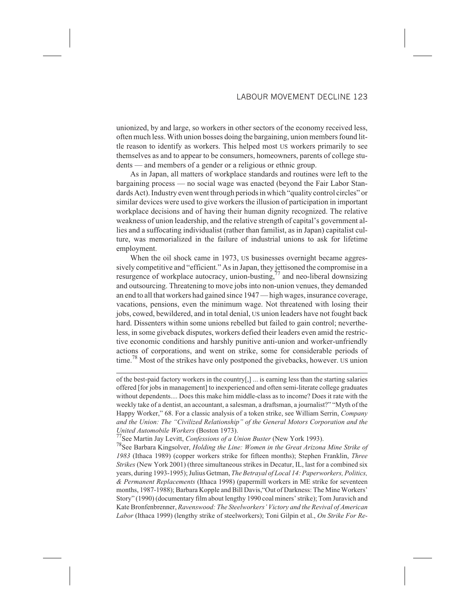unionized, by and large, so workers in other sectors of the economy received less, often much less. With union bosses doing the bargaining, union members found little reason to identify as workers. This helped most US workers primarily to see themselves as and to appear to be consumers, homeowners, parents of college students — and members of a gender or a religious or ethnic group.

As in Japan, all matters of workplace standards and routines were left to the bargaining process — no social wage was enacted (beyond the Fair Labor Standards Act). Industry even went through periods in which "quality control circles" or similar devices were used to give workers the illusion of participation in important workplace decisions and of having their human dignity recognized. The relative weakness of union leadership, and the relative strength of capital's government allies and a suffocating individualist (rather than familist, as in Japan) capitalist culture, was memorialized in the failure of industrial unions to ask for lifetime employment.

When the oil shock came in 1973, US businesses overnight became aggressively competitive and "efficient." As in Japan, they jettisoned the compromise in a resurgence of workplace autocracy, union-busting, $77$  and neo-liberal downsizing and outsourcing. Threatening to move jobs into non-union venues, they demanded an end to all that workers had gained since 1947 — high wages, insurance coverage, vacations, pensions, even the minimum wage. Not threatened with losing their jobs, cowed, bewildered, and in total denial, US union leaders have not fought back hard. Dissenters within some unions rebelled but failed to gain control; nevertheless, in some giveback disputes, workers defied their leaders even amid the restrictive economic conditions and harshly punitive anti-union and worker-unfriendly actions of corporations, and went on strike, some for considerable periods of time.<sup>78</sup> Most of the strikes have only postponed the givebacks, however. US union

77See Martin Jay Levitt, *Confessions of a Union Buster* (New York 1993).

78See Barbara Kingsolver, *Holding the Line: Women in the Great Arizona Mine Strike of 1983* (Ithaca 1989) (copper workers strike for fifteen months); Stephen Franklin, *Three Strikes* (New York 2001) (three simultaneous strikes in Decatur, IL, last for a combined six years, during 1993-1995); Julius Getman, *The Betrayal of Local 14: Paperworkers, Politics, & Permanent Replacements* (Ithaca 1998) (papermill workers in ME strike for seventeen months, 1987-1988); Barbara Kopple and Bill Davis,"Out of Darkness: The Mine Workers' Story" (1990) (documentary film about lengthy 1990 coal miners' strike); Tom Juravich and Kate Bronfenbrenner, *Ravenswood: The Steelworkers' Victory and the Revival of American Labor* (Ithaca 1999) (lengthy strike of steelworkers); Toni Gilpin et al., *On Strike For Re-*

of the best-paid factory workers in the country[,] ... is earning less than the starting salaries offered [for jobs in management] to inexperienced and often semi-literate college graduates without dependents.... Does this make him middle-class as to income? Does it rate with the weekly take of a dentist, an accountant, a salesman, a draftsman, a journalist?" "Myth of the Happy Worker," 68. For a classic analysis of a token strike, see William Serrin, *Company and the Union: The "Civilized Relationship" of the General Motors Corporation and the United Automobile Workers* (Boston 1973).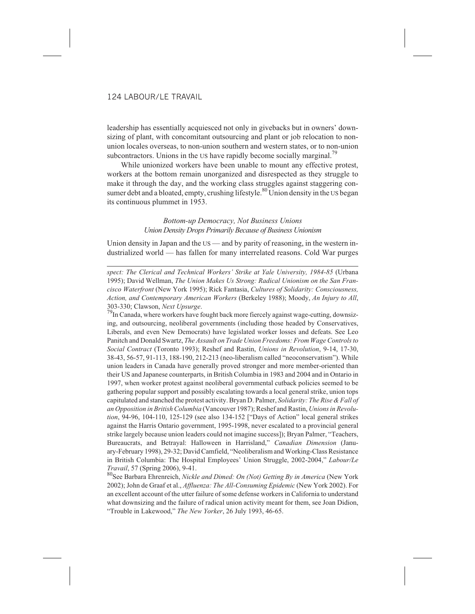leadership has essentially acquiesced not only in givebacks but in owners' downsizing of plant, with concomitant outsourcing and plant or job relocation to nonunion locales overseas, to non-union southern and western states, or to non-union subcontractors. Unions in the US have rapidly become socially marginal.<sup>79</sup>

While unionized workers have been unable to mount any effective protest, workers at the bottom remain unorganized and disrespected as they struggle to make it through the day, and the working class struggles against staggering consumer debt and a bloated, empty, crushing lifestyle.<sup>80</sup> Union density in the US began its continuous plummet in 1953.

# *Bottom-up Democracy, Not Business Unions Union Density Drops Primarily Because of Business Unionism*

Union density in Japan and the US — and by parity of reasoning, in the western industrialized world — has fallen for many interrelated reasons. Cold War purges

*spect: The Clerical and Technical Workers' Strike at Yale University, 1984-85* (Urbana 1995); David Wellman, *The Union Makes Us Strong: Radical Unionism on the San Francisco Waterfront* (New York 1995); Rick Fantasia, *Cultures of Solidarity: Consciousness, Action, and Contemporary American Workers* (Berkeley 1988); Moody, *An Injury to All*, 303-330; Clawson, *Next Upsurge*.<br><sup>79</sup>In Canada, where workers have fought back more fiercely against wage-cutting, downsiz-

ing, and outsourcing, neoliberal governments (including those headed by Conservatives, Liberals, and even New Democrats) have legislated worker losses and defeats. See Leo Panitch and Donald Swartz, *The Assault on Trade Union Freedoms: From Wage Controls to Social Contract* (Toronto 1993); Reshef and Rastin, *Unions in Revolution*, 9-14, 17-30, 38-43, 56-57, 91-113, 188-190, 212-213 (neo-liberalism called "neoconservatism"). While union leaders in Canada have generally proved stronger and more member-oriented than their US and Japanese counterparts, in British Columbia in 1983 and 2004 and in Ontario in 1997, when worker protest against neoliberal governmental cutback policies seemed to be gathering popular support and possibly escalating towards a local general strike, union tops capitulated and stanched the protest activity. Bryan D. Palmer, *Solidarity: The Rise & Fall of an Opposition in British Columbia* (Vancouver 1987); Reshef and Rastin, *Unions in Revolution*, 94-96, 104-110, 125-129 (see also 134-152 ["Days of Action" local general strikes against the Harris Ontario government, 1995-1998, never escalated to a provincial general strike largely because union leaders could not imagine success]); Bryan Palmer, "Teachers, Bureaucrats, and Betrayal: Halloween in Harrisland," *Canadian Dimension* (January-February 1998), 29-32; David Camfield, "Neoliberalism and Working-Class Resistance in British Columbia: The Hospital Employees' Union Struggle, 2002-2004," *Labour/Le Travail*, 57 (Spring 2006), 9-41.

80See Barbara Ehrenreich, *Nickle and Dimed: On (Not) Getting By in America* (New York 2002); John de Graaf et al., *Affluenza: The All-Consuming Epidemic* (New York 2002). For an excellent account of the utter failure of some defense workers in California to understand what downsizing and the failure of radical union activity meant for them, see Joan Didion, "Trouble in Lakewood," *The New Yorker*, 26 July 1993, 46-65.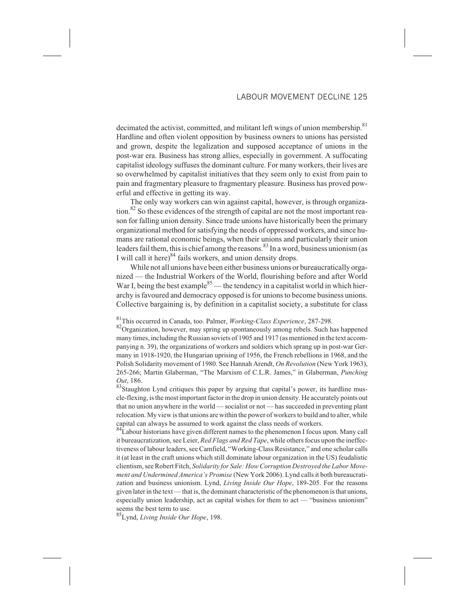decimated the activist, committed, and militant left wings of union membership.<sup>81</sup> Hardline and often violent opposition by business owners to unions has persisted and grown, despite the legalization and supposed acceptance of unions in the post-war era. Business has strong allies, especially in government. A suffocating capitalist ideology suffuses the dominant culture. For many workers, their lives are so overwhelmed by capitalist initiatives that they seem only to exist from pain to pain and fragmentary pleasure to fragmentary pleasure. Business has proved powerful and effective in getting its way.

The only way workers can win against capital, however, is through organization.<sup>82</sup> So these evidences of the strength of capital are not the most important reason for falling union density. Since trade unions have historically been the primary organizational method for satisfying the needs of oppressed workers, and since humans are rational economic beings, when their unions and particularly their union leaders fail them, this is chief among the reasons.<sup>83</sup> In a word, business unionism (as I will call it here) $84$  fails workers, and union density drops.

While not all unions have been either business unions or bureaucratically organized — the Industrial Workers of the World, flourishing before and after World War I, being the best example $^{85}$  — the tendency in a capitalist world in which hierarchy is favoured and democracy opposed is for unions to become business unions. Collective bargaining is, by definition in a capitalist society, a substitute for class

85Lynd, *Living Inside Our Hope*, 198.

<sup>81</sup>This occurred in Canada, too. Palmer, *Working-Class Experience*, 287-298.

<sup>&</sup>lt;sup>82</sup>Organization, however, may spring up spontaneously among rebels. Such has happened many times, including the Russian soviets of 1905 and 1917 (as mentioned in the text accompanying n. 39), the organizations of workers and soldiers which sprang up in post-war Germany in 1918-1920, the Hungarian uprising of 1956, the French rebellions in 1968, and the Polish Solidarity movement of 1980. See Hannah Arendt, *On Revolution* (New York 1963), 265-266; Martin Glaberman, "The Marxism of C.L.R. James," in Glaberman, *Punching Out*, 186.

<sup>&</sup>lt;sup>83</sup>Staughton Lynd critiques this paper by arguing that capital's power, its hardline muscle-flexing, is the most important factor in the drop in union density. He accurately points out that no union anywhere in the world — socialist or not — has succeeded in preventing plant relocation. My view is that unions are within the power of workers to build and to alter, while capital can always be assumed to work against the class needs of workers.

<sup>&</sup>lt;sup>84</sup>Labour historians have given different names to the phenomenon I focus upon. Many call it bureaucratization, see Leier, *Red Flags and Red Tape*, while others focus upon the ineffectiveness of labour leaders, see Camfield, "Working-Class Resistance," and one scholar calls it (at least in the craft unions which still dominate labour organization in the US) feudalistic clientism, see Robert Fitch, *Solidarity for Sale: How Corruption Destroyed the Labor Movement and Undermined America's Promise* (New York 2006). Lynd calls it both bureaucratization and business unionism. Lynd, *Living Inside Our Hope*, 189-205. For the reasons given later in the text — that is, the dominant characteristic of the phenomenon is that unions, especially union leadership, act as capital wishes for them to act — "business unionism" seems the best term to use.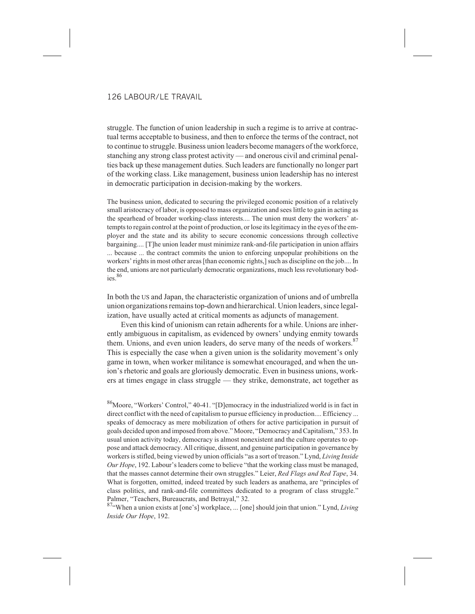struggle. The function of union leadership in such a regime is to arrive at contractual terms acceptable to business, and then to enforce the terms of the contract, not to continue to struggle. Business union leaders become managers of the workforce, stanching any strong class protest activity — and onerous civil and criminal penalties back up these management duties. Such leaders are functionally no longer part of the working class. Like management, business union leadership has no interest in democratic participation in decision-making by the workers.

The business union, dedicated to securing the privileged economic position of a relatively small aristocracy of labor, is opposed to mass organization and sees little to gain in acting as the spearhead of broader working-class interests.... The union must deny the workers' attempts to regain control at the point of production, or lose its legitimacy in the eyes of the employer and the state and its ability to secure economic concessions through collective bargaining.... [T]he union leader must minimize rank-and-file participation in union affairs ... because ... the contract commits the union to enforcing unpopular prohibitions on the workers' rights in most other areas [than economic rights,] such as discipline on the job.... In the end, unions are not particularly democratic organizations, much less revolutionary bodies. $86$ 

In both the US and Japan, the characteristic organization of unions and of umbrella union organizations remains top-down and hierarchical. Union leaders, since legalization, have usually acted at critical moments as adjuncts of management.

Even this kind of unionism can retain adherents for a while. Unions are inherently ambiguous in capitalism, as evidenced by owners' undying enmity towards them. Unions, and even union leaders, do serve many of the needs of workers. $87$ This is especially the case when a given union is the solidarity movement's only game in town, when worker militance is somewhat encouraged, and when the union's rhetoric and goals are gloriously democratic. Even in business unions, workers at times engage in class struggle — they strike, demonstrate, act together as

86Moore, "Workers' Control," 40-41. "[D]emocracy in the industrialized world is in fact in direct conflict with the need of capitalism to pursue efficiency in production.... Efficiency ... speaks of democracy as mere mobilization of others for active participation in pursuit of goals decided upon and imposed from above." Moore, "Democracy and Capitalism," 353. In usual union activity today, democracy is almost nonexistent and the culture operates to oppose and attack democracy. All critique, dissent, and genuine participation in governance by workers is stifled, being viewed by union officials "as a sort of treason." Lynd, *Living Inside Our Hope*, 192. Labour's leaders come to believe "that the working class must be managed, that the masses cannot determine their own struggles." Leier, *Red Flags and Red Tape*, 34. What is forgotten, omitted, indeed treated by such leaders as anathema, are "principles of class politics, and rank-and-file committees dedicated to a program of class struggle." Palmer, "Teachers, Bureaucrats, and Betrayal," 32.

87.when a union exists at [one's] workplace, ... [one] should join that union." Lynd, *Living Inside Our Hope*, 192.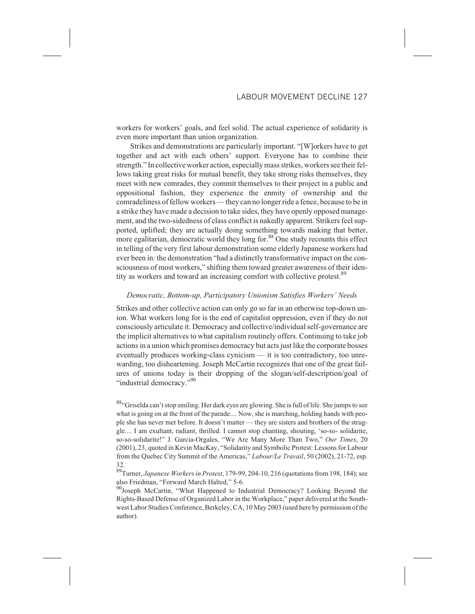workers for workers' goals, and feel solid. The actual experience of solidarity is even more important than union organization.

Strikes and demonstrations are particularly important. "[W]orkers have to get together and act with each others' support. Everyone has to combine their strength." In collective worker action, especially mass strikes, workers see their fellows taking great risks for mutual benefit, they take strong risks themselves, they meet with new comrades, they commit themselves to their project in a public and oppositional fashion, they experience the enmity of ownership and the comradeliness of fellow workers — they can no longer ride a fence, because to be in a strike they have made a decision to take sides, they have openly opposed management, and the two-sidedness of class conflict is nakedly apparent. Strikers feel supported, uplifted; they are actually doing something towards making that better, more egalitarian, democratic world they long for.<sup>88</sup> One study recounts this effect in telling of the very first labour demonstration some elderly Japanese workers had ever been in: the demonstration "had a distinctly transformative impact on the consciousness of most workers," shifting them toward greater awareness of their identity as workers and toward an increasing comfort with collective protest.<sup>89</sup>

# *Democratic, Bottom-up, Participatory Unionism Satisfies Workers' Needs*

Strikes and other collective action can only go so far in an otherwise top-down union. What workers long for is the end of capitalist oppression, even if they do not consciously articulate it. Democracy and collective/individual self-governance are the implicit alternatives to what capitalism routinely offers. Continuing to take job actions in a union which promises democracy but acts just like the corporate bosses eventually produces working-class cynicism — it is too contradictory, too unrewarding, too disheartening. Joseph McCartin recognizes that one of the great failures of unions today is their dropping of the slogan/self-description/goal of "industrial democracy."<sup>90</sup>

<sup>88</sup>"Griselda can't stop smiling. Her dark eyes are glowing. She is full of life. She jumps to see what is going on at the front of the parade.... Now, she is marching, holding hands with people she has never met before. It doesn't matter — they are sisters and brothers of the struggle.... I am exultant, radiant, thrilled. I cannot stop chanting, shouting, 'so-so- solidarite, so-so-solidarite!" J. Garcia-Orgales, "We Are Many More Than Two," *Our Times*, 20 (2001), 23, quoted in Kevin MacKay, "Solidarity and Symbolic Protest: Lessons for Labour from the Quebec City Summit of the Americas," *Labour/Le Travail*, 50 (2002), 21-72, esp. 32.

89Turner, *Japanese Workers in Protest*, 179-99, 204-10, 216 (quotations from 198, 184); see also Friedman, "Forward March Halted," 5-6.

<sup>90</sup>Joseph McCartin, "What Happened to Industrial Democracy? Looking Beyond the Rights-Based Defense of Organized Labor in the Workplace," paper delivered at the Southwest Labor Studies Conference, Berkeley, CA, 10 May 2003 (used here by permission of the author).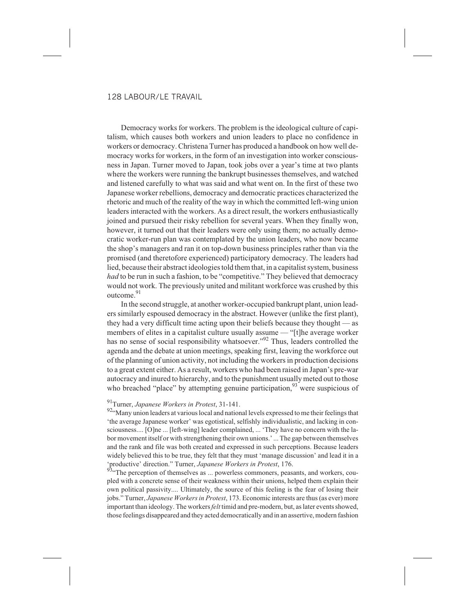Democracy works for workers. The problem is the ideological culture of capitalism, which causes both workers and union leaders to place no confidence in workers or democracy. Christena Turner has produced a handbook on how well democracy works for workers, in the form of an investigation into worker consciousness in Japan. Turner moved to Japan, took jobs over a year's time at two plants where the workers were running the bankrupt businesses themselves, and watched and listened carefully to what was said and what went on. In the first of these two Japanese worker rebellions, democracy and democratic practices characterized the rhetoric and much of the reality of the way in which the committed left-wing union leaders interacted with the workers. As a direct result, the workers enthusiastically joined and pursued their risky rebellion for several years. When they finally won, however, it turned out that their leaders were only using them; no actually democratic worker-run plan was contemplated by the union leaders, who now became the shop's managers and ran it on top-down business principles rather than via the promised (and theretofore experienced) participatory democracy. The leaders had lied, because their abstract ideologies told them that, in a capitalist system, business *had* to be run in such a fashion, to be "competitive." They believed that democracy would not work. The previously united and militant workforce was crushed by this outcome.<sup>91</sup>

In the second struggle, at another worker-occupied bankrupt plant, union leaders similarly espoused democracy in the abstract. However (unlike the first plant), they had a very difficult time acting upon their beliefs because they thought — as members of elites in a capitalist culture usually assume — "[t]he average worker has no sense of social responsibility whatsoever."<sup>92</sup> Thus, leaders controlled the agenda and the debate at union meetings, speaking first, leaving the workforce out of the planning of union activity, not including the workers in production decisions to a great extent either. As a result, workers who had been raised in Japan's pre-war autocracy and inured to hierarchy, and to the punishment usually meted out to those who breached "place" by attempting genuine participation,<sup>93</sup> were suspicious of

# 91Turner, *Japanese Workers in Protest*, 31-141.

92"Many union leaders at various local and national levels expressed to me their feelings that 'the average Japanese worker' was egotistical, selfishly individualistic, and lacking in consciousness.... [O]ne ... [left-wing] leader complained, ... 'They have no concern with the labor movement itself or with strengthening their own unions.' ... The gap between themselves and the rank and file was both created and expressed in such perceptions. Because leaders widely believed this to be true, they felt that they must 'manage discussion' and lead it in a 'productive' direction." Turner, *Japanese Workers in Protest*, 176.

<sup>93.</sup> The perception of themselves as ... powerless commoners, peasants, and workers, coupled with a concrete sense of their weakness within their unions, helped them explain their own political passivity.... Ultimately, the source of this feeling is the fear of losing their jobs." Turner, *Japanese Workers in Protest*, 173. Economic interests are thus (as ever) more important than ideology. The workers*felt* timid and pre-modern, but, as later events showed, those feelings disappeared and they acted democratically and in an assertive, modern fashion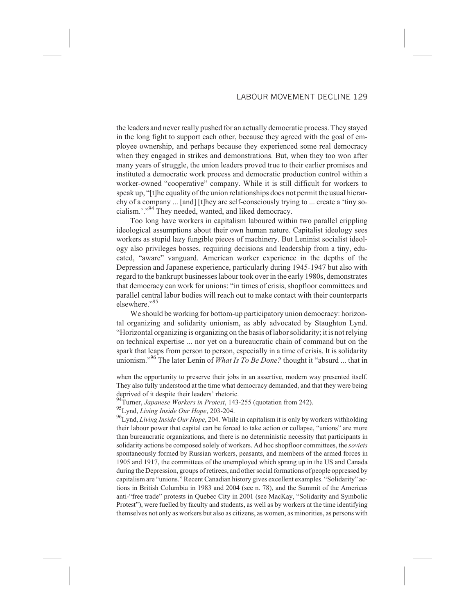the leaders and never really pushed for an actually democratic process. They stayed in the long fight to support each other, because they agreed with the goal of employee ownership, and perhaps because they experienced some real democracy when they engaged in strikes and demonstrations. But, when they too won after many years of struggle, the union leaders proved true to their earlier promises and instituted a democratic work process and democratic production control within a worker-owned "cooperative" company. While it is still difficult for workers to speak up, "[t]he equality of the union relationships does not permit the usual hierarchy of a company ... [and] [t]hey are self-consciously trying to ... create a 'tiny socialism.'."<sup>94</sup> They needed, wanted, and liked democracy.

Too long have workers in capitalism laboured within two parallel crippling ideological assumptions about their own human nature. Capitalist ideology sees workers as stupid lazy fungible pieces of machinery. But Leninist socialist ideology also privileges bosses, requiring decisions and leadership from a tiny, educated, "aware" vanguard. American worker experience in the depths of the Depression and Japanese experience, particularly during 1945-1947 but also with regard to the bankrupt businesses labour took over in the early 1980s, demonstrates that democracy can work for unions: "in times of crisis, shopfloor committees and parallel central labor bodies will reach out to make contact with their counterparts elsewhere."95

We should be working for bottom-up participatory union democracy: horizontal organizing and solidarity unionism, as ably advocated by Staughton Lynd. "Horizontal organizing is organizing on the basis of labor solidarity; it is not relying on technical expertise ... nor yet on a bureaucratic chain of command but on the spark that leaps from person to person, especially in a time of crisis. It is solidarity unionism."<sup>96</sup> The later Lenin of *What Is To Be Done?* thought it "absurd ... that in

when the opportunity to preserve their jobs in an assertive, modern way presented itself. They also fully understood at the time what democracy demanded, and that they were being deprived of it despite their leaders' rhetoric.

<sup>94</sup>Turner, *Japanese Workers in Protest*, 143-255 (quotation from 242).

<sup>95</sup>Lynd, *Living Inside Our Hope*, 203-204.

<sup>96</sup>Lynd, *Living Inside Our Hope*, 204. While in capitalism it is only by workers withholding their labour power that capital can be forced to take action or collapse, "unions" are more than bureaucratic organizations, and there is no deterministic necessity that participants in solidarity actions be composed solely of workers. Ad hoc shopfloor committees, the *soviets* spontaneously formed by Russian workers, peasants, and members of the armed forces in 1905 and 1917, the committees of the unemployed which sprang up in the US and Canada during the Depression, groups of retirees, and other social formations of people oppressed by capitalism are "unions." Recent Canadian history gives excellent examples. "Solidarity" actions in British Columbia in 1983 and 2004 (see n. 78), and the Summit of the Americas anti-"free trade" protests in Quebec City in 2001 (see MacKay, "Solidarity and Symbolic Protest"), were fuelled by faculty and students, as well as by workers at the time identifying themselves not only as workers but also as citizens, as women, as minorities, as persons with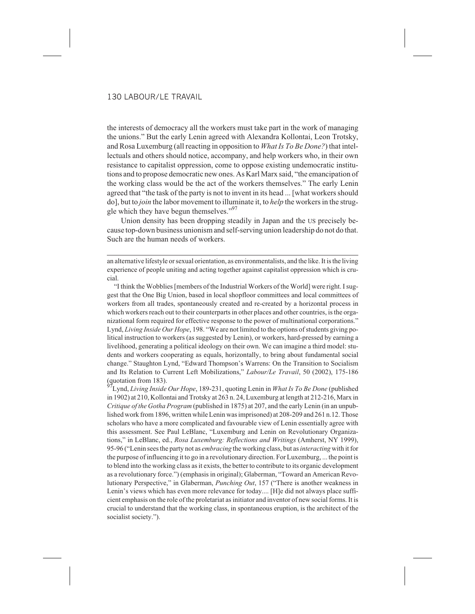the interests of democracy all the workers must take part in the work of managing the unions." But the early Lenin agreed with Alexandra Kollontai, Leon Trotsky, and Rosa Luxemburg (all reacting in opposition to *What Is To Be Done?*) that intellectuals and others should notice, accompany, and help workers who, in their own resistance to capitalist oppression, come to oppose existing undemocratic institutions and to propose democratic new ones. As Karl Marx said, "the emancipation of the working class would be the act of the workers themselves." The early Lenin agreed that "the task of the party is not to invent in its head ... [what workers should do], but to *join* the labor movement to illuminate it, to *help* the workers in the struggle which they have begun themselves."<sup>97</sup>

Union density has been dropping steadily in Japan and the US precisely because top-down business unionism and self-serving union leadership do not do that. Such are the human needs of workers.

an alternative lifestyle or sexual orientation, as environmentalists, and the like. It is the living experience of people uniting and acting together against capitalist oppression which is crucial.

"I think the Wobblies [members of the Industrial Workers of the World] were right. I suggest that the One Big Union, based in local shopfloor committees and local committees of workers from all trades, spontaneously created and re-created by a horizontal process in which workers reach out to their counterparts in other places and other countries, is the organizational form required for effective response to the power of multinational corporations." Lynd, *Living Inside Our Hope*, 198. "We are not limited to the options of students giving political instruction to workers (as suggested by Lenin), or workers, hard-pressed by earning a livelihood, generating a political ideology on their own. We can imagine a third model: students and workers cooperating as equals, horizontally, to bring about fundamental social change." Staughton Lynd, "Edward Thompson's Warrens: On the Transition to Socialism and Its Relation to Current Left Mobilizations," *Labour/Le Travail*, 50 (2002), 175-186  $\frac{1}{27}$  (quotation from 183).

97Lynd, *Living Inside Our Hope*, 189-231, quoting Lenin in *What Is To Be Done* (published in 1902) at 210, Kollontai and Trotsky at 263 n. 24, Luxemburg at length at 212-216, Marx in *Critique of the Gotha Program* (published in 1875) at 207, and the early Lenin (in an unpublished work from 1896, written while Lenin was imprisoned) at 208-209 and 261 n.12. Those scholars who have a more complicated and favourable view of Lenin essentially agree with this assessment. See Paul LeBlanc, "Luxemburg and Lenin on Revolutionary Organizations," in LeBlanc, ed., *Rosa Luxemburg: Reflections and Writings* (Amherst, NY 1999), 95-96 ("Lenin sees the party not as *embracing* the working class, but as*interacting* with it for the purpose of influencing it to go in a revolutionary direction. For Luxemburg, ... the point is to blend into the working class as it exists, the better to contribute to its organic development as a revolutionary force.") (emphasis in original); Glaberman, "Toward an American Revolutionary Perspective," in Glaberman, *Punching Out*, 157 ("There is another weakness in Lenin's views which has even more relevance for today.... [H]e did not always place sufficient emphasis on the role of the proletariat as initiator and inventor of new social forms. It is crucial to understand that the working class, in spontaneous eruption, is the architect of the socialist society.").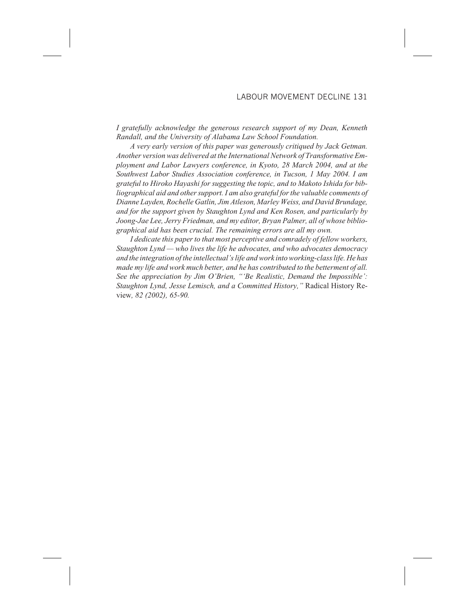*I gratefully acknowledge the generous research support of my Dean, Kenneth Randall, and the University of Alabama Law School Foundation.*

*A very early version of this paper was generously critiqued by Jack Getman. Another version was delivered at the International Network of Transformative Employment and Labor Lawyers conference, in Kyoto, 28 March 2004, and at the Southwest Labor Studies Association conference, in Tucson, 1 May 2004. I am grateful to Hiroko Hayashi for suggesting the topic, and to Makoto Ishida for bibliographical aid and other support. I am also grateful for the valuable comments of Dianne Layden, Rochelle Gatlin, Jim Atleson, Marley Weiss, and David Brundage, and for the support given by Staughton Lynd and Ken Rosen, and particularly by Joong-Jae Lee, Jerry Friedman, and my editor, Bryan Palmer, all of whose bibliographical aid has been crucial. The remaining errors are all my own.*

*I dedicate this paper to that most perceptive and comradely of fellow workers, Staughton Lynd — who lives the life he advocates, and who advocates democracy and the integration of the intellectual's life and work into working-class life. He has made my life and work much better, and he has contributed to the betterment of all. See the appreciation by Jim O'Brien, "'Be Realistic, Demand the Impossible': Staughton Lynd, Jesse Lemisch, and a Committed History,"* Radical History Review*, 82 (2002), 65-90.*